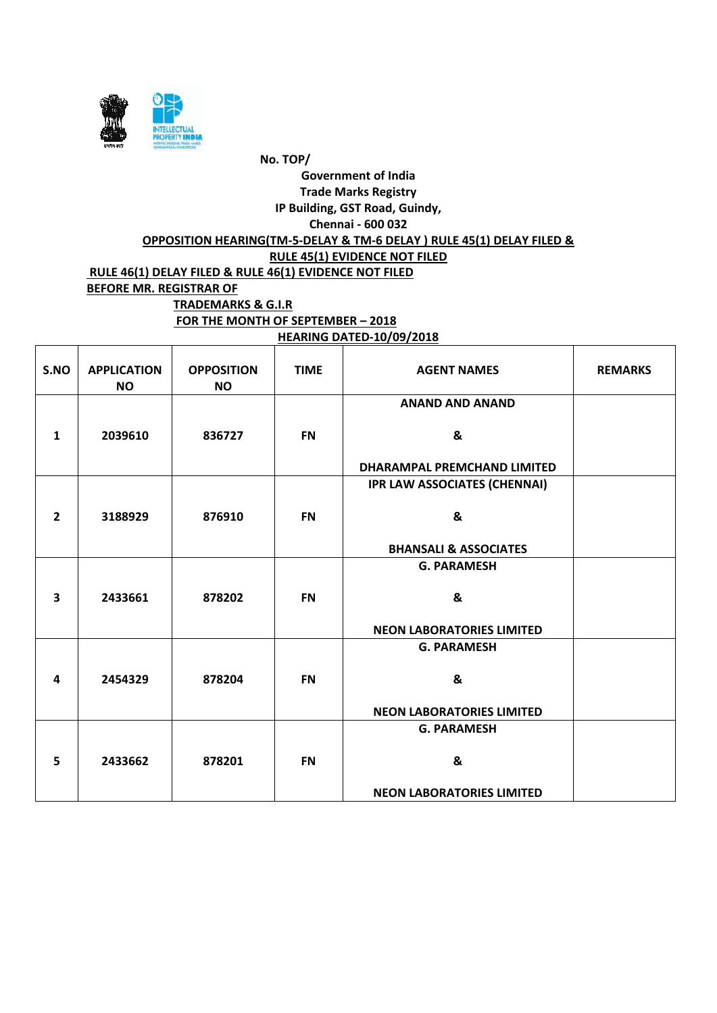

| S.NO           | <b>APPLICATION</b><br><b>NO</b> | <b>OPPOSITION</b><br><b>NO</b> | <b>TIME</b> | <b>AGENT NAMES</b>                  | <b>REMARKS</b> |
|----------------|---------------------------------|--------------------------------|-------------|-------------------------------------|----------------|
|                |                                 |                                |             | <b>ANAND AND ANAND</b>              |                |
| $\mathbf{1}$   | 2039610                         | 836727                         | <b>FN</b>   | &                                   |                |
|                |                                 |                                |             | DHARAMPAL PREMCHAND LIMITED         |                |
|                |                                 |                                |             | <b>IPR LAW ASSOCIATES (CHENNAI)</b> |                |
| $\overline{2}$ | 3188929                         | 876910                         | <b>FN</b>   | &                                   |                |
|                |                                 |                                |             | <b>BHANSALI &amp; ASSOCIATES</b>    |                |
|                |                                 |                                |             | <b>G. PARAMESH</b>                  |                |
| 3              | 2433661                         | 878202                         | <b>FN</b>   | &                                   |                |
|                |                                 |                                |             | <b>NEON LABORATORIES LIMITED</b>    |                |
|                |                                 |                                |             | <b>G. PARAMESH</b>                  |                |
| 4              | 2454329                         | 878204                         | <b>FN</b>   | &                                   |                |
|                |                                 |                                |             | <b>NEON LABORATORIES LIMITED</b>    |                |
|                |                                 |                                |             | <b>G. PARAMESH</b>                  |                |
| 5              | 2433662                         | 878201                         | <b>FN</b>   | &                                   |                |
|                |                                 |                                |             | <b>NEON LABORATORIES LIMITED</b>    |                |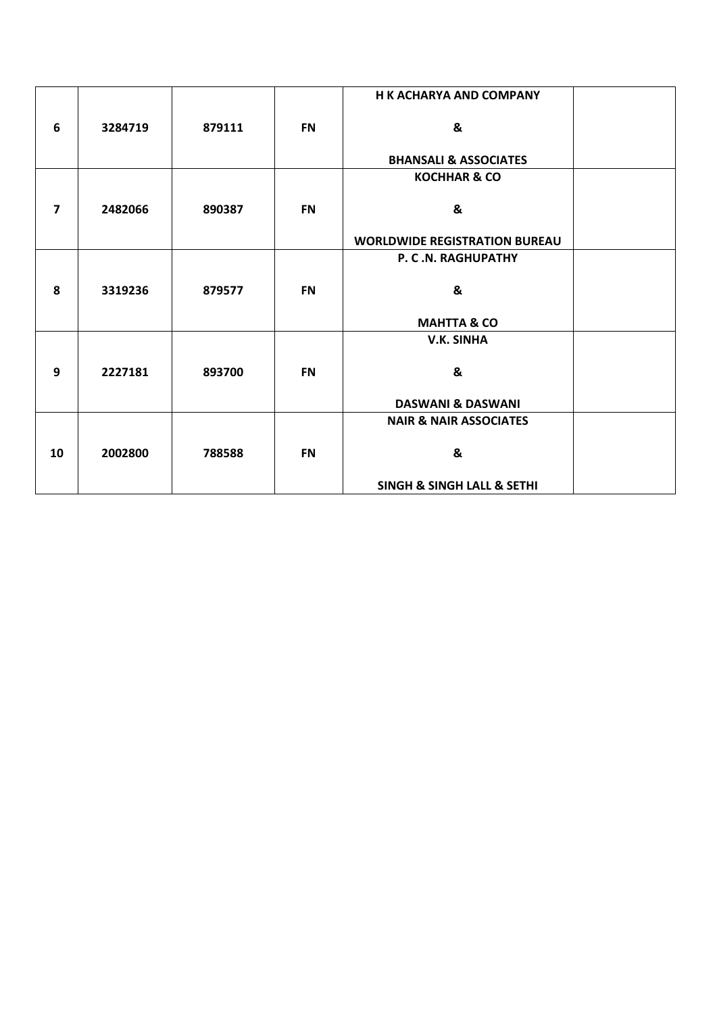|                         |         |        |           | <b>H K ACHARYA AND COMPANY</b>            |  |
|-------------------------|---------|--------|-----------|-------------------------------------------|--|
| 6                       | 3284719 | 879111 | <b>FN</b> | &                                         |  |
|                         |         |        |           | <b>BHANSALI &amp; ASSOCIATES</b>          |  |
|                         |         |        |           | <b>KOCHHAR &amp; CO</b>                   |  |
| $\overline{\mathbf{z}}$ | 2482066 | 890387 | <b>FN</b> | &                                         |  |
|                         |         |        |           | <b>WORLDWIDE REGISTRATION BUREAU</b>      |  |
|                         |         |        |           | P. C.N. RAGHUPATHY                        |  |
| 8                       | 3319236 | 879577 | <b>FN</b> | &                                         |  |
|                         |         |        |           | <b>MAHTTA &amp; CO</b>                    |  |
|                         |         |        |           | <b>V.K. SINHA</b>                         |  |
|                         |         |        |           |                                           |  |
| 9                       | 2227181 | 893700 | <b>FN</b> | &                                         |  |
|                         |         |        |           | <b>DASWANI &amp; DASWANI</b>              |  |
|                         |         |        |           | <b>NAIR &amp; NAIR ASSOCIATES</b>         |  |
|                         |         |        |           |                                           |  |
| 10                      | 2002800 | 788588 | <b>FN</b> | &                                         |  |
|                         |         |        |           | <b>SINGH &amp; SINGH LALL &amp; SETHI</b> |  |
|                         |         |        |           |                                           |  |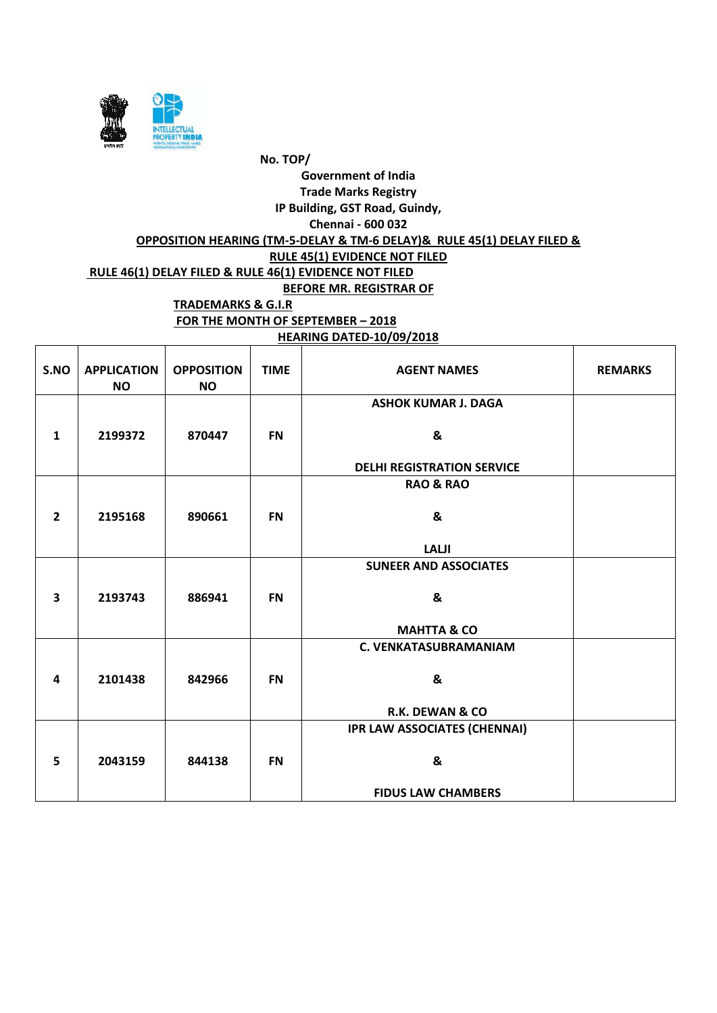

#### **HEARING DATED-10/09/2018**

| S.NO                    | <b>APPLICATION</b><br><b>NO</b> | <b>OPPOSITION</b><br><b>NO</b> | <b>TIME</b> | <b>AGENT NAMES</b>                  | <b>REMARKS</b> |
|-------------------------|---------------------------------|--------------------------------|-------------|-------------------------------------|----------------|
|                         |                                 |                                |             | <b>ASHOK KUMAR J. DAGA</b>          |                |
| 1                       | 2199372                         | 870447                         | <b>FN</b>   | &                                   |                |
|                         |                                 |                                |             | <b>DELHI REGISTRATION SERVICE</b>   |                |
|                         |                                 |                                |             | <b>RAO &amp; RAO</b>                |                |
| $\overline{2}$          | 2195168                         | 890661                         | <b>FN</b>   | &                                   |                |
|                         |                                 |                                |             | <b>LALJI</b>                        |                |
|                         |                                 |                                |             | <b>SUNEER AND ASSOCIATES</b>        |                |
| $\overline{\mathbf{3}}$ | 2193743                         | 886941                         | <b>FN</b>   | &                                   |                |
|                         |                                 |                                |             | <b>MAHTTA &amp; CO</b>              |                |
|                         |                                 |                                |             | <b>C. VENKATASUBRAMANIAM</b>        |                |
| 4                       | 2101438                         | 842966                         | <b>FN</b>   | &                                   |                |
|                         |                                 |                                |             | <b>R.K. DEWAN &amp; CO</b>          |                |
|                         |                                 |                                |             | <b>IPR LAW ASSOCIATES (CHENNAI)</b> |                |
| 5                       | 2043159                         | 844138                         | <b>FN</b>   | &                                   |                |
|                         |                                 |                                |             | <b>FIDUS LAW CHAMBERS</b>           |                |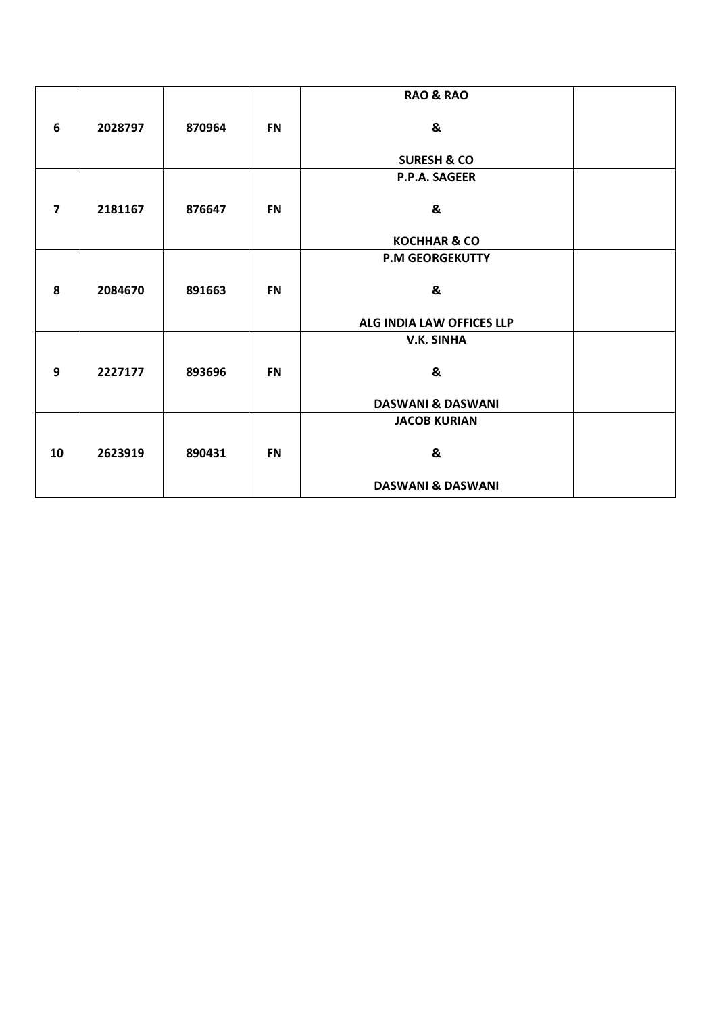|                         |         |        |           | <b>RAO &amp; RAO</b>         |  |
|-------------------------|---------|--------|-----------|------------------------------|--|
| 6                       | 2028797 | 870964 | <b>FN</b> | &                            |  |
|                         |         |        |           | <b>SURESH &amp; CO</b>       |  |
|                         |         |        |           | P.P.A. SAGEER                |  |
| $\overline{\mathbf{z}}$ | 2181167 | 876647 | <b>FN</b> | &                            |  |
|                         |         |        |           | <b>KOCHHAR &amp; CO</b>      |  |
|                         |         |        |           | <b>P.M GEORGEKUTTY</b>       |  |
| 8                       | 2084670 | 891663 | <b>FN</b> | &                            |  |
|                         |         |        |           | ALG INDIA LAW OFFICES LLP    |  |
|                         |         |        |           | V.K. SINHA                   |  |
| 9                       | 2227177 | 893696 | <b>FN</b> | &                            |  |
|                         |         |        |           | <b>DASWANI &amp; DASWANI</b> |  |
|                         |         |        |           | <b>JACOB KURIAN</b>          |  |
| 10                      | 2623919 | 890431 | <b>FN</b> | &                            |  |
|                         |         |        |           | <b>DASWANI &amp; DASWANI</b> |  |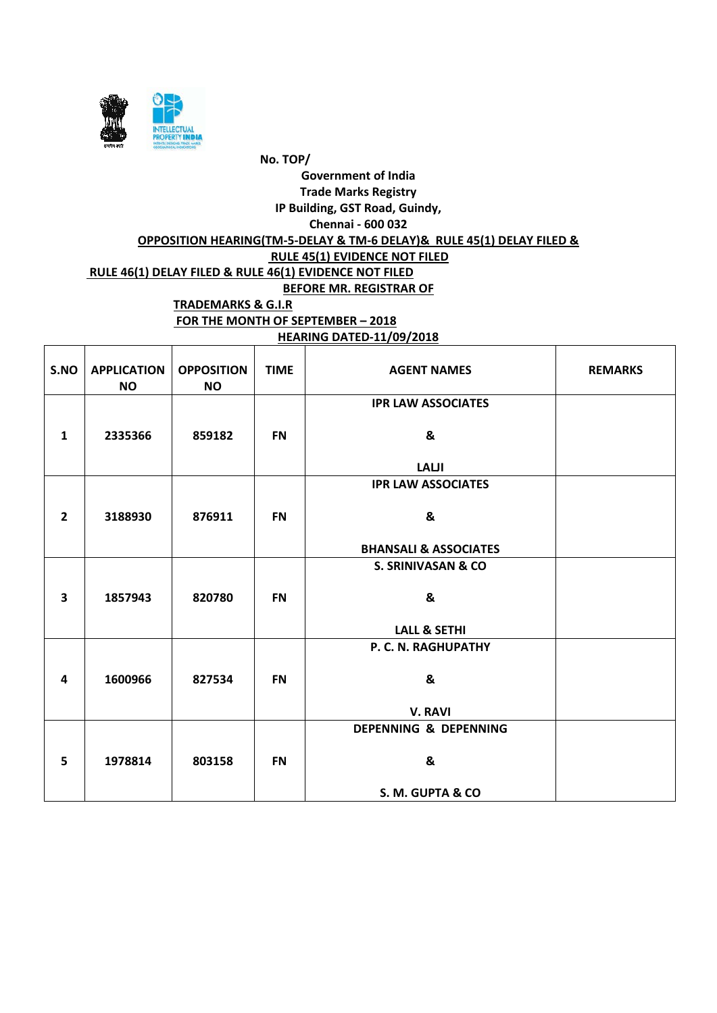

**HEARING DATED-11/09/2018**

| S.NO           | <b>APPLICATION</b><br><b>NO</b> | <b>OPPOSITION</b><br><b>NO</b> | <b>TIME</b> | <b>AGENT NAMES</b>               | <b>REMARKS</b> |
|----------------|---------------------------------|--------------------------------|-------------|----------------------------------|----------------|
|                |                                 |                                |             | <b>IPR LAW ASSOCIATES</b>        |                |
| $\mathbf{1}$   | 2335366                         | 859182                         | <b>FN</b>   | &                                |                |
|                |                                 |                                |             | <b>LALJI</b>                     |                |
|                |                                 |                                |             | <b>IPR LAW ASSOCIATES</b>        |                |
| $\overline{2}$ | 3188930                         | 876911                         | <b>FN</b>   | &                                |                |
|                |                                 |                                |             | <b>BHANSALI &amp; ASSOCIATES</b> |                |
|                |                                 |                                |             | <b>S. SRINIVASAN &amp; CO</b>    |                |
| 3              | 1857943                         | 820780                         | <b>FN</b>   | &                                |                |
|                |                                 |                                |             | <b>LALL &amp; SETHI</b>          |                |
|                |                                 |                                |             | P. C. N. RAGHUPATHY              |                |
| 4              | 1600966                         | 827534                         | <b>FN</b>   | &                                |                |
|                |                                 |                                |             | <b>V. RAVI</b>                   |                |
|                |                                 |                                |             | DEPENNING & DEPENNING            |                |
| 5              | 1978814                         | 803158                         | <b>FN</b>   | &                                |                |
|                |                                 |                                |             | S. M. GUPTA & CO                 |                |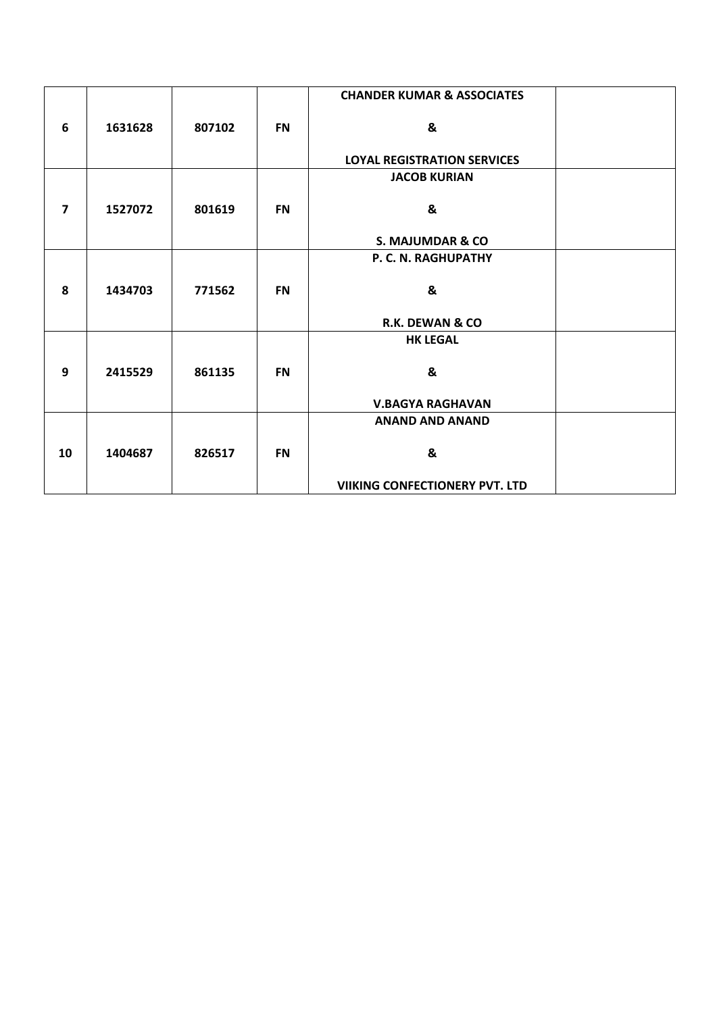|                         |         |        |           | <b>CHANDER KUMAR &amp; ASSOCIATES</b> |  |
|-------------------------|---------|--------|-----------|---------------------------------------|--|
| 6                       | 1631628 | 807102 | <b>FN</b> | &                                     |  |
|                         |         |        |           | <b>LOYAL REGISTRATION SERVICES</b>    |  |
|                         |         |        |           | <b>JACOB KURIAN</b>                   |  |
| $\overline{\mathbf{z}}$ | 1527072 | 801619 | <b>FN</b> | &                                     |  |
|                         |         |        |           | S. MAJUMDAR & CO                      |  |
|                         |         |        |           | P. C. N. RAGHUPATHY                   |  |
| 8                       | 1434703 | 771562 | <b>FN</b> | &                                     |  |
|                         |         |        |           | <b>R.K. DEWAN &amp; CO</b>            |  |
|                         |         |        |           | <b>HK LEGAL</b>                       |  |
| 9                       | 2415529 | 861135 | <b>FN</b> | &                                     |  |
|                         |         |        |           | <b>V.BAGYA RAGHAVAN</b>               |  |
|                         |         |        |           | <b>ANAND AND ANAND</b>                |  |
| 10                      | 1404687 | 826517 | <b>FN</b> | &                                     |  |
|                         |         |        |           | <b>VIIKING CONFECTIONERY PVT. LTD</b> |  |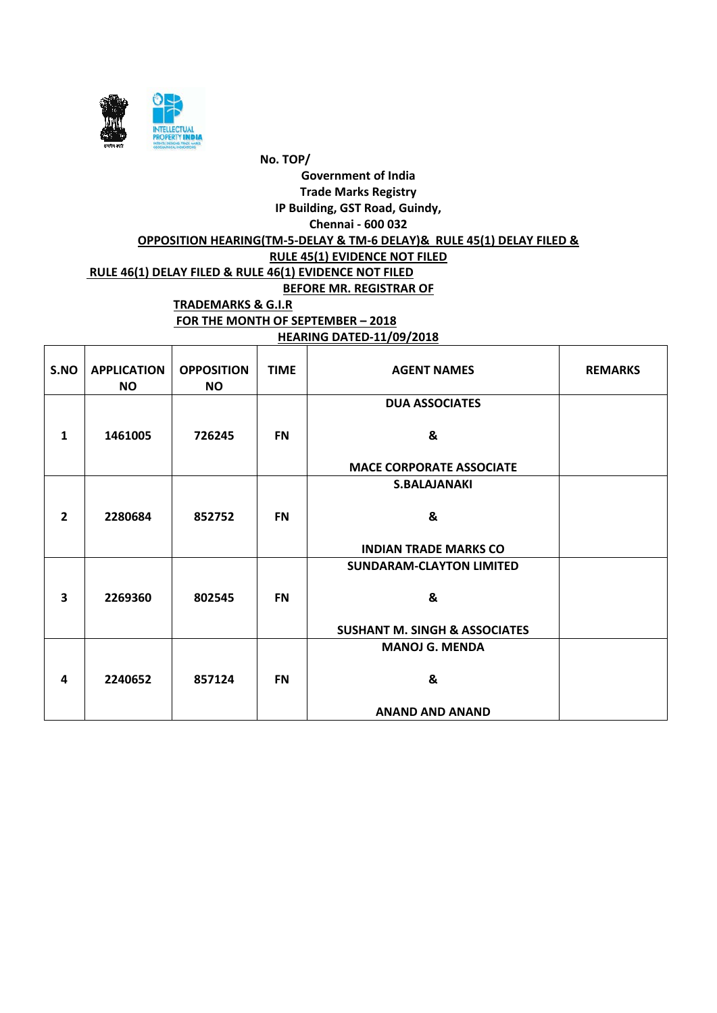

#### **HEARING DATED-11/09/2018**

| S.NO                    | <b>APPLICATION</b><br><b>NO</b> | <b>OPPOSITION</b><br><b>NO</b> | <b>TIME</b> | <b>AGENT NAMES</b>                       | <b>REMARKS</b> |
|-------------------------|---------------------------------|--------------------------------|-------------|------------------------------------------|----------------|
|                         |                                 |                                |             | <b>DUA ASSOCIATES</b>                    |                |
| $\mathbf{1}$            | 1461005                         | 726245                         | <b>FN</b>   | &                                        |                |
|                         |                                 |                                |             | <b>MACE CORPORATE ASSOCIATE</b>          |                |
|                         |                                 |                                |             | <b>S.BALAJANAKI</b>                      |                |
| $\overline{2}$          | 2280684                         | 852752                         | <b>FN</b>   | &                                        |                |
|                         |                                 |                                |             | <b>INDIAN TRADE MARKS CO</b>             |                |
|                         |                                 |                                |             | <b>SUNDARAM-CLAYTON LIMITED</b>          |                |
| $\overline{\mathbf{3}}$ | 2269360                         | 802545                         | <b>FN</b>   | &                                        |                |
|                         |                                 |                                |             | <b>SUSHANT M. SINGH &amp; ASSOCIATES</b> |                |
|                         |                                 |                                |             | <b>MANOJ G. MENDA</b>                    |                |
| 4                       | 2240652                         | 857124                         | <b>FN</b>   | &                                        |                |
|                         |                                 |                                |             | <b>ANAND AND ANAND</b>                   |                |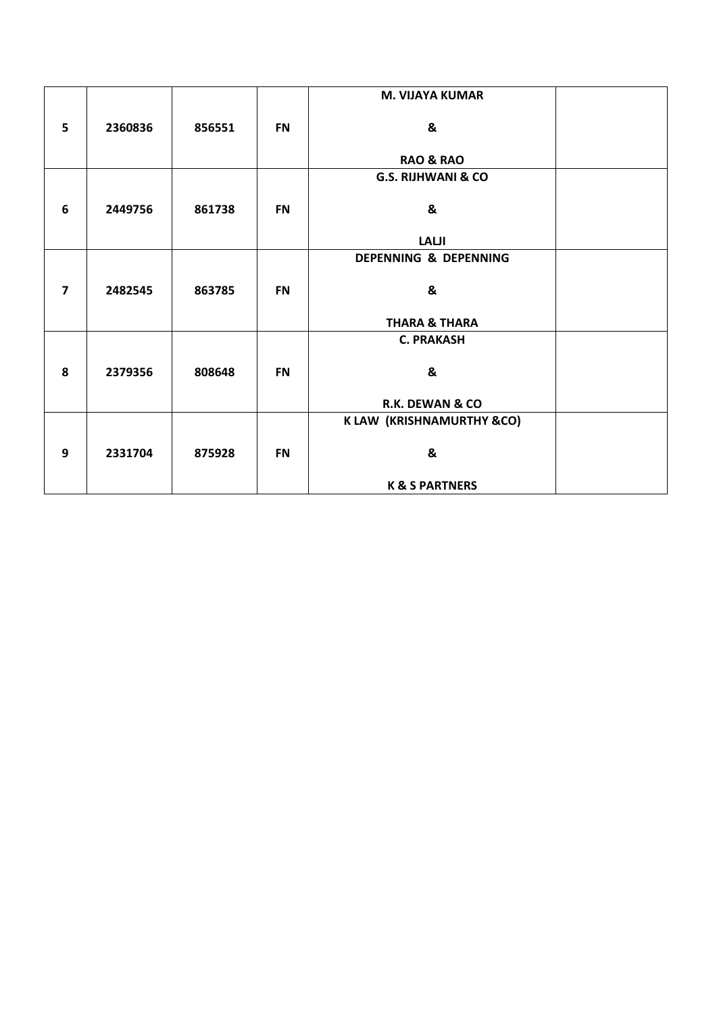|                         |         |        |           | <b>M. VIJAYA KUMAR</b>        |  |
|-------------------------|---------|--------|-----------|-------------------------------|--|
| 5                       | 2360836 | 856551 | <b>FN</b> | &                             |  |
|                         |         |        |           | <b>RAO &amp; RAO</b>          |  |
|                         |         |        |           | <b>G.S. RIJHWANI &amp; CO</b> |  |
| 6                       | 2449756 | 861738 | <b>FN</b> | &                             |  |
|                         |         |        |           | <b>LALJI</b>                  |  |
|                         |         |        |           | DEPENNING & DEPENNING         |  |
| $\overline{\mathbf{z}}$ | 2482545 | 863785 | <b>FN</b> | &                             |  |
|                         |         |        |           | <b>THARA &amp; THARA</b>      |  |
|                         |         |        |           | <b>C. PRAKASH</b>             |  |
| 8                       | 2379356 | 808648 | <b>FN</b> | &                             |  |
|                         |         |        |           | R.K. DEWAN & CO               |  |
|                         |         |        |           | K LAW (KRISHNAMURTHY &CO)     |  |
| 9                       | 2331704 | 875928 | <b>FN</b> | &                             |  |
|                         |         |        |           | <b>K &amp; S PARTNERS</b>     |  |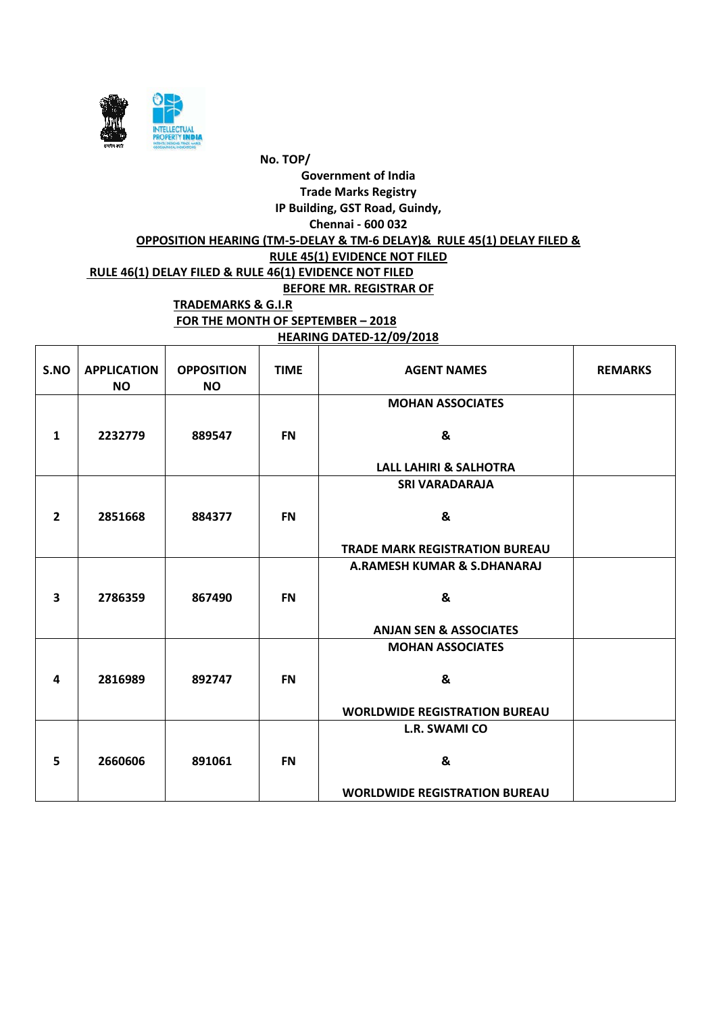

**HEARING DATED-12/09/2018**

| S.NO                    | <b>APPLICATION</b><br><b>NO</b> | <b>OPPOSITION</b><br><b>NO</b> | <b>TIME</b> | <b>AGENT NAMES</b>                    | <b>REMARKS</b> |
|-------------------------|---------------------------------|--------------------------------|-------------|---------------------------------------|----------------|
|                         |                                 |                                |             | <b>MOHAN ASSOCIATES</b>               |                |
| 1                       | 2232779                         | 889547                         | <b>FN</b>   | &                                     |                |
|                         |                                 |                                |             | <b>LALL LAHIRI &amp; SALHOTRA</b>     |                |
|                         |                                 |                                |             | <b>SRI VARADARAJA</b>                 |                |
| $\overline{2}$          | 2851668                         | 884377                         | <b>FN</b>   | &                                     |                |
|                         |                                 |                                |             | <b>TRADE MARK REGISTRATION BUREAU</b> |                |
|                         |                                 |                                |             | A.RAMESH KUMAR & S.DHANARAJ           |                |
| $\overline{\mathbf{3}}$ | 2786359                         | 867490                         | <b>FN</b>   | &                                     |                |
|                         |                                 |                                |             | <b>ANJAN SEN &amp; ASSOCIATES</b>     |                |
|                         |                                 |                                |             | <b>MOHAN ASSOCIATES</b>               |                |
| 4                       | 2816989                         | 892747                         | <b>FN</b>   | &                                     |                |
|                         |                                 |                                |             | <b>WORLDWIDE REGISTRATION BUREAU</b>  |                |
|                         |                                 |                                |             | <b>L.R. SWAMI CO</b>                  |                |
| 5                       | 2660606                         | 891061                         | <b>FN</b>   | &                                     |                |
|                         |                                 |                                |             | <b>WORLDWIDE REGISTRATION BUREAU</b>  |                |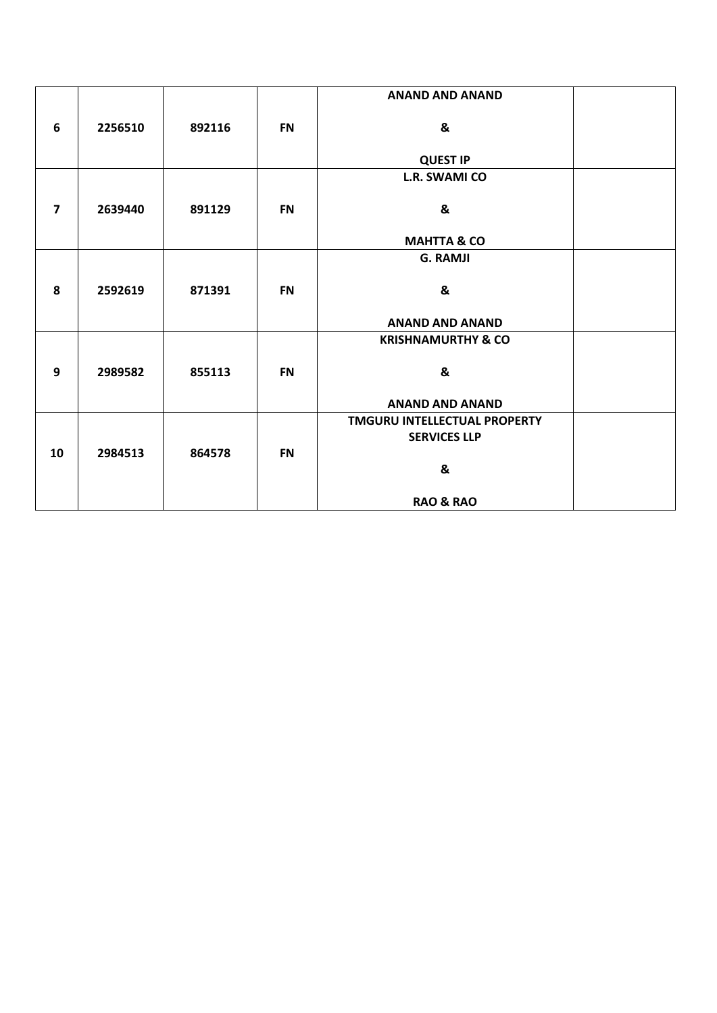|                |         |        |           | <b>ANAND AND ANAND</b>              |  |
|----------------|---------|--------|-----------|-------------------------------------|--|
|                |         |        |           |                                     |  |
| 6              | 2256510 | 892116 | <b>FN</b> | &                                   |  |
|                |         |        |           | <b>QUEST IP</b>                     |  |
|                |         |        |           | <b>L.R. SWAMI CO</b>                |  |
|                |         |        |           |                                     |  |
| $\overline{7}$ | 2639440 | 891129 | <b>FN</b> | &                                   |  |
|                |         |        |           |                                     |  |
|                |         |        |           | <b>MAHTTA &amp; CO</b>              |  |
|                |         |        |           | <b>G. RAMJI</b>                     |  |
|                |         |        |           |                                     |  |
| 8              | 2592619 | 871391 | <b>FN</b> | &                                   |  |
|                |         |        |           |                                     |  |
|                |         |        |           | <b>ANAND AND ANAND</b>              |  |
|                |         |        |           | <b>KRISHNAMURTHY &amp; CO</b>       |  |
|                |         |        |           |                                     |  |
| 9              | 2989582 | 855113 | <b>FN</b> | &                                   |  |
|                |         |        |           |                                     |  |
|                |         |        |           | <b>ANAND AND ANAND</b>              |  |
|                |         |        |           | <b>TMGURU INTELLECTUAL PROPERTY</b> |  |
|                |         |        |           | <b>SERVICES LLP</b>                 |  |
| 10             | 2984513 | 864578 | <b>FN</b> |                                     |  |
|                |         |        |           | &                                   |  |
|                |         |        |           |                                     |  |
|                |         |        |           | <b>RAO &amp; RAO</b>                |  |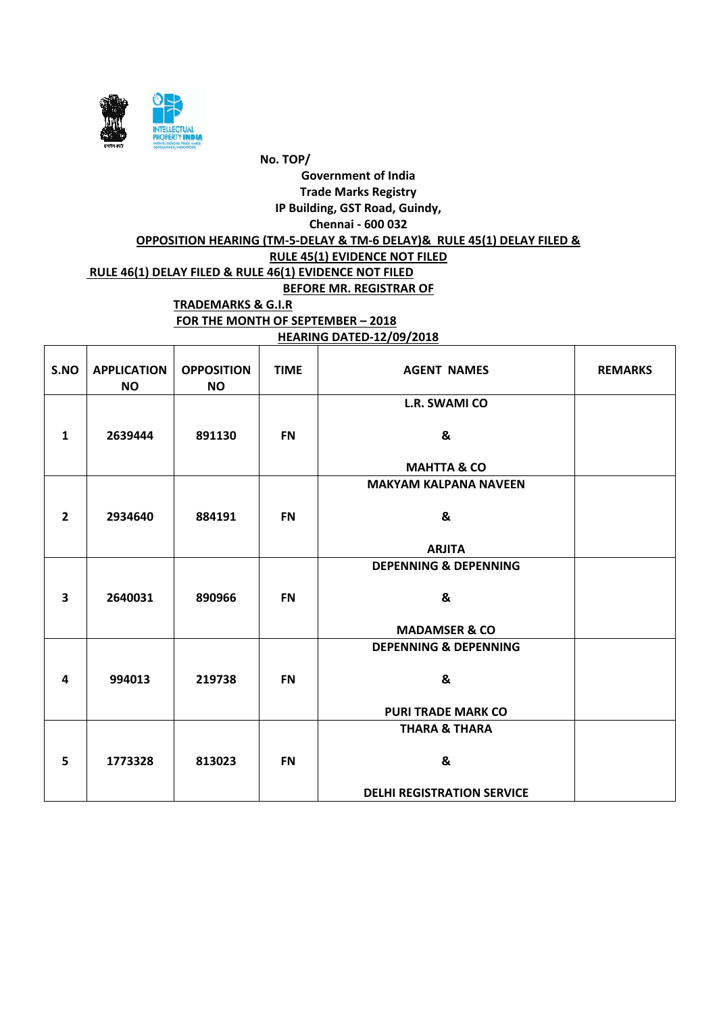

**HEARING DATED-12/09/2018**

| S.NO           | <b>APPLICATION</b><br><b>NO</b> | <b>OPPOSITION</b><br><b>NO</b> | <b>TIME</b> | <b>AGENT NAMES</b>                | <b>REMARKS</b> |
|----------------|---------------------------------|--------------------------------|-------------|-----------------------------------|----------------|
|                |                                 |                                |             | L.R. SWAMI CO                     |                |
| 1              | 2639444                         | 891130                         | <b>FN</b>   | &                                 |                |
|                |                                 |                                |             | <b>MAHTTA &amp; CO</b>            |                |
|                |                                 |                                |             | <b>MAKYAM KALPANA NAVEEN</b>      |                |
|                |                                 |                                |             |                                   |                |
| $\overline{2}$ | 2934640                         | 884191                         | <b>FN</b>   | &                                 |                |
|                |                                 |                                |             |                                   |                |
|                |                                 |                                |             | <b>ARJITA</b>                     |                |
|                |                                 |                                |             | <b>DEPENNING &amp; DEPENNING</b>  |                |
|                |                                 |                                |             |                                   |                |
| $\mathbf{3}$   | 2640031                         | 890966                         | <b>FN</b>   | &                                 |                |
|                |                                 |                                |             | <b>MADAMSER &amp; CO</b>          |                |
|                |                                 |                                |             | <b>DEPENNING &amp; DEPENNING</b>  |                |
|                |                                 |                                |             |                                   |                |
| 4              | 994013                          | 219738                         | <b>FN</b>   | &                                 |                |
|                |                                 |                                |             |                                   |                |
|                |                                 |                                |             | <b>PURI TRADE MARK CO</b>         |                |
|                |                                 |                                |             | <b>THARA &amp; THARA</b>          |                |
|                |                                 |                                |             |                                   |                |
| 5              | 1773328                         | 813023                         | <b>FN</b>   | &                                 |                |
|                |                                 |                                |             |                                   |                |
|                |                                 |                                |             | <b>DELHI REGISTRATION SERVICE</b> |                |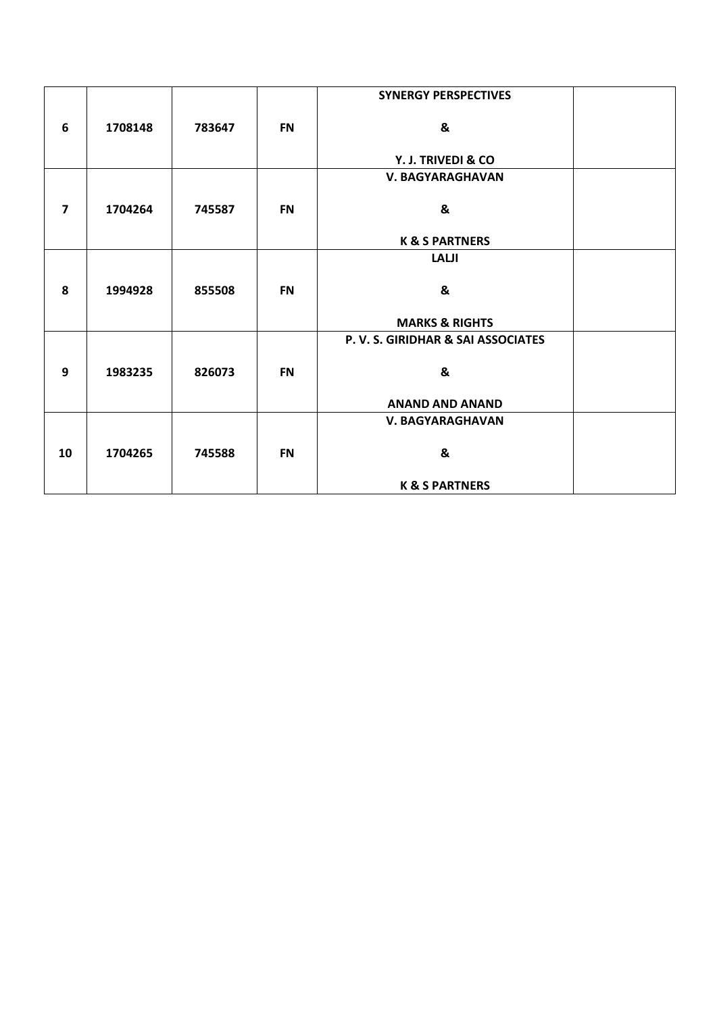|                         |         |        |           | <b>SYNERGY PERSPECTIVES</b>       |  |
|-------------------------|---------|--------|-----------|-----------------------------------|--|
| 6                       | 1708148 | 783647 | <b>FN</b> | &                                 |  |
|                         |         |        |           | Y. J. TRIVEDI & CO                |  |
|                         |         |        |           | <b>V. BAGYARAGHAVAN</b>           |  |
| $\overline{\mathbf{z}}$ | 1704264 | 745587 | <b>FN</b> | &                                 |  |
|                         |         |        |           | <b>K &amp; S PARTNERS</b>         |  |
|                         |         |        |           | <b>LALJI</b>                      |  |
| 8                       | 1994928 | 855508 | <b>FN</b> | &                                 |  |
|                         |         |        |           | <b>MARKS &amp; RIGHTS</b>         |  |
|                         |         |        |           | P.V. S. GIRIDHAR & SAI ASSOCIATES |  |
|                         |         |        |           |                                   |  |
| 9                       | 1983235 | 826073 | <b>FN</b> | &                                 |  |
|                         |         |        |           | <b>ANAND AND ANAND</b>            |  |
|                         |         |        |           | V. BAGYARAGHAVAN                  |  |
| 10                      | 1704265 | 745588 | <b>FN</b> | &                                 |  |
|                         |         |        |           |                                   |  |
|                         |         |        |           | <b>K &amp; S PARTNERS</b>         |  |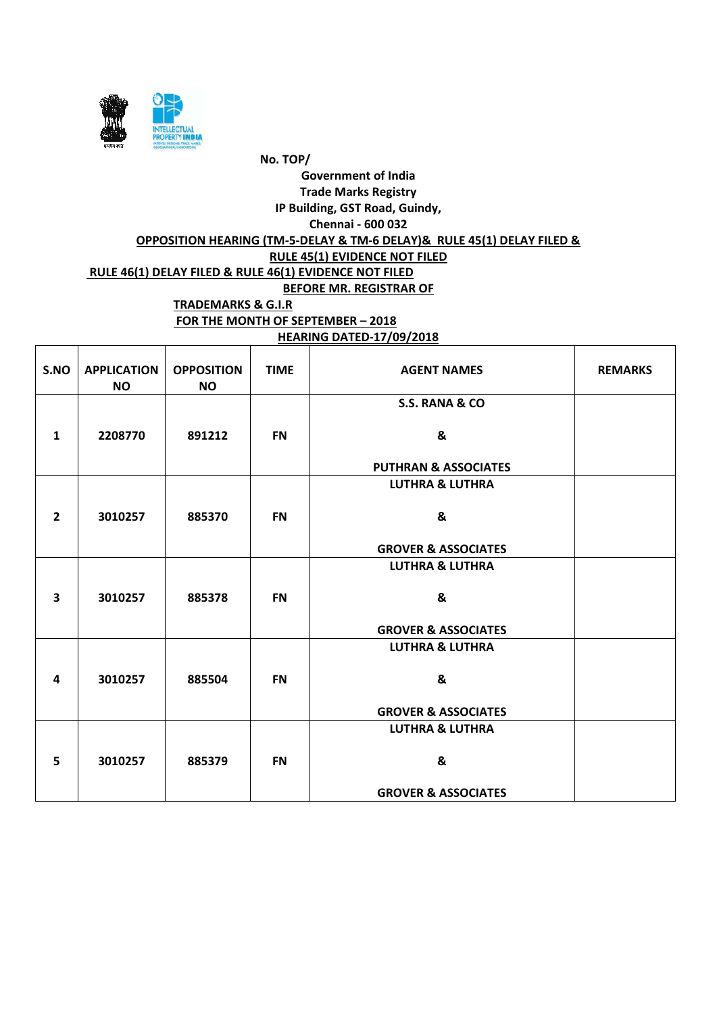

**HEARING DATED-17/09/2018**

| S.NO                    | <b>APPLICATION</b><br><b>NO</b> | <b>OPPOSITION</b><br><b>NO</b> | <b>TIME</b> | <b>AGENT NAMES</b>              | <b>REMARKS</b> |
|-------------------------|---------------------------------|--------------------------------|-------------|---------------------------------|----------------|
|                         |                                 |                                |             | S.S. RANA & CO                  |                |
| $\mathbf{1}$            | 2208770                         | 891212                         | <b>FN</b>   | &                               |                |
|                         |                                 |                                |             | <b>PUTHRAN &amp; ASSOCIATES</b> |                |
|                         |                                 |                                |             | <b>LUTHRA &amp; LUTHRA</b>      |                |
| $\overline{2}$          | 3010257                         | 885370                         | <b>FN</b>   | &                               |                |
|                         |                                 |                                |             |                                 |                |
|                         |                                 |                                |             | <b>GROVER &amp; ASSOCIATES</b>  |                |
|                         |                                 |                                |             | <b>LUTHRA &amp; LUTHRA</b>      |                |
|                         |                                 |                                |             |                                 |                |
| $\overline{\mathbf{3}}$ | 3010257                         | 885378                         | <b>FN</b>   | &                               |                |
|                         |                                 |                                |             | <b>GROVER &amp; ASSOCIATES</b>  |                |
|                         |                                 |                                |             |                                 |                |
|                         |                                 |                                |             | <b>LUTHRA &amp; LUTHRA</b>      |                |
| 4                       | 3010257                         | 885504                         | <b>FN</b>   | &                               |                |
|                         |                                 |                                |             |                                 |                |
|                         |                                 |                                |             | <b>GROVER &amp; ASSOCIATES</b>  |                |
|                         |                                 |                                |             | <b>LUTHRA &amp; LUTHRA</b>      |                |
|                         |                                 |                                |             | &                               |                |
| 5                       | 3010257                         | 885379                         | <b>FN</b>   |                                 |                |
|                         |                                 |                                |             | <b>GROVER &amp; ASSOCIATES</b>  |                |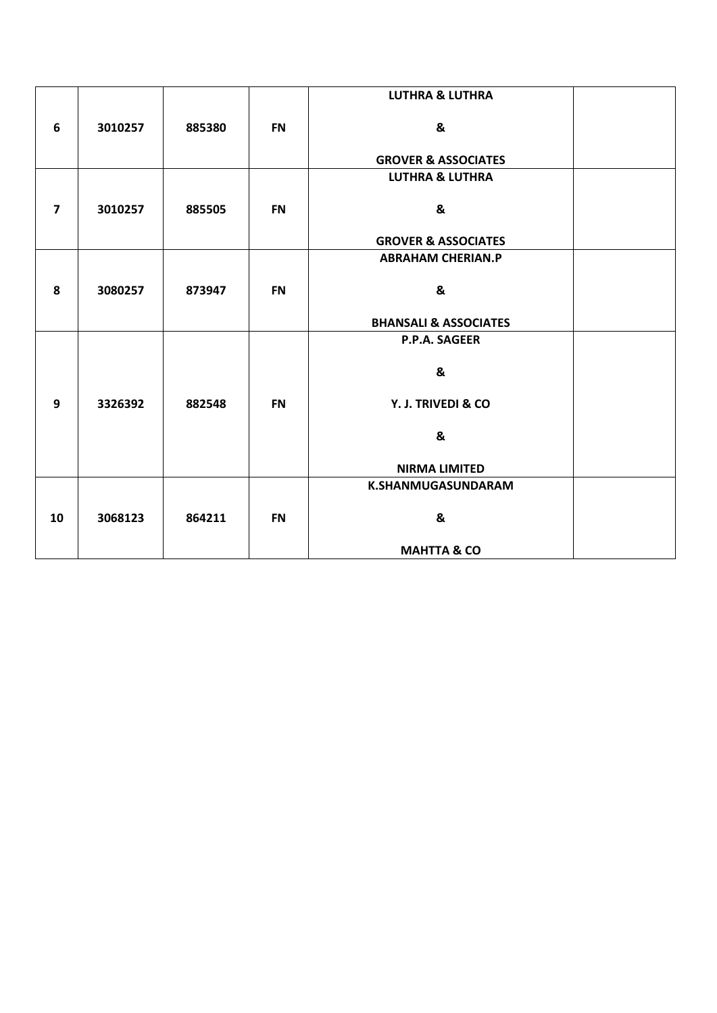|                |         |        |           | <b>LUTHRA &amp; LUTHRA</b>       |  |
|----------------|---------|--------|-----------|----------------------------------|--|
| 6              | 3010257 | 885380 | <b>FN</b> | &                                |  |
|                |         |        |           |                                  |  |
|                |         |        |           | <b>GROVER &amp; ASSOCIATES</b>   |  |
|                |         |        |           | <b>LUTHRA &amp; LUTHRA</b>       |  |
| $\overline{7}$ |         |        |           |                                  |  |
|                | 3010257 | 885505 | <b>FN</b> | &                                |  |
|                |         |        |           | <b>GROVER &amp; ASSOCIATES</b>   |  |
|                |         |        |           | <b>ABRAHAM CHERIAN.P</b>         |  |
|                |         |        |           |                                  |  |
| 8              | 3080257 | 873947 | <b>FN</b> | &                                |  |
|                |         |        |           | <b>BHANSALI &amp; ASSOCIATES</b> |  |
|                |         |        |           | P.P.A. SAGEER                    |  |
|                |         |        |           |                                  |  |
|                |         |        |           | &                                |  |
| 9              | 3326392 | 882548 | <b>FN</b> | Y. J. TRIVEDI & CO               |  |
|                |         |        |           |                                  |  |
|                |         |        |           | &                                |  |
|                |         |        |           | <b>NIRMA LIMITED</b>             |  |
|                |         |        |           | K.SHANMUGASUNDARAM               |  |
|                |         |        |           |                                  |  |
| 10             | 3068123 | 864211 | <b>FN</b> | &                                |  |
|                |         |        |           |                                  |  |
|                |         |        |           | <b>MAHTTA &amp; CO</b>           |  |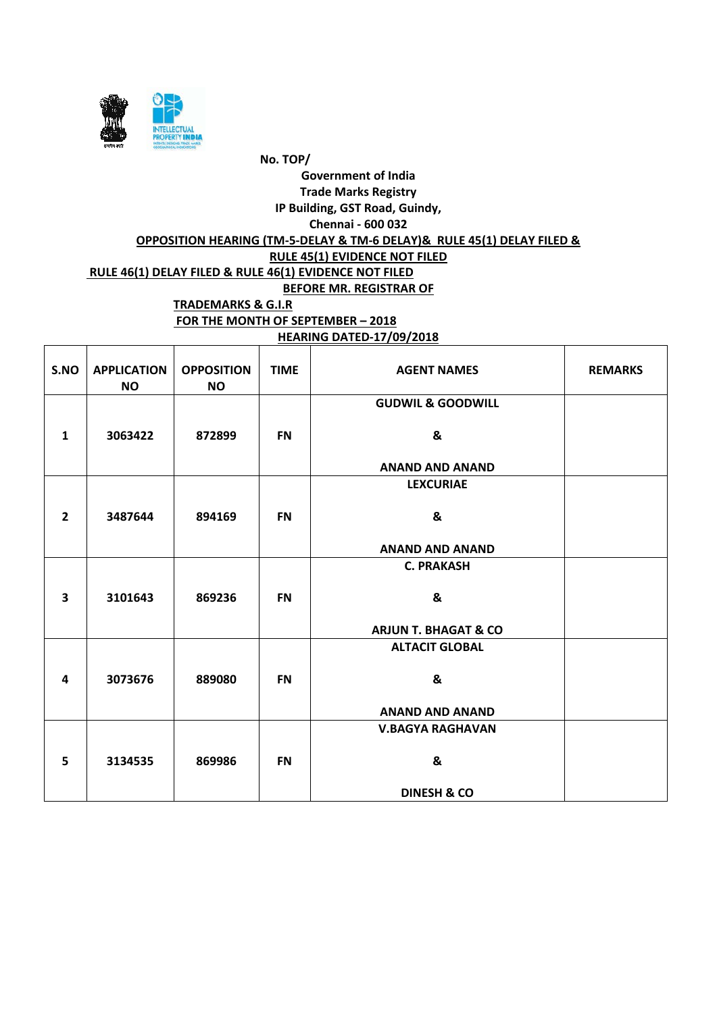

# **HEARING DATED-17/09/2018**

| S.NO                    | <b>APPLICATION</b><br><b>NO</b> | <b>OPPOSITION</b><br><b>NO</b> | <b>TIME</b> | <b>AGENT NAMES</b>              | <b>REMARKS</b> |
|-------------------------|---------------------------------|--------------------------------|-------------|---------------------------------|----------------|
|                         |                                 |                                |             | <b>GUDWIL &amp; GOODWILL</b>    |                |
| $\mathbf{1}$            | 3063422                         | 872899                         | <b>FN</b>   | &                               |                |
|                         |                                 |                                |             | <b>ANAND AND ANAND</b>          |                |
|                         |                                 |                                |             | <b>LEXCURIAE</b>                |                |
| $\overline{2}$          | 3487644                         | 894169                         | <b>FN</b>   | &                               |                |
|                         |                                 |                                |             | <b>ANAND AND ANAND</b>          |                |
|                         |                                 |                                |             | <b>C. PRAKASH</b>               |                |
| $\overline{\mathbf{3}}$ | 3101643                         | 869236                         | <b>FN</b>   | &                               |                |
|                         |                                 |                                |             | <b>ARJUN T. BHAGAT &amp; CO</b> |                |
|                         |                                 |                                |             | <b>ALTACIT GLOBAL</b>           |                |
| 4                       | 3073676                         | 889080                         | <b>FN</b>   | &                               |                |
|                         |                                 |                                |             | <b>ANAND AND ANAND</b>          |                |
|                         |                                 |                                |             | <b>V.BAGYA RAGHAVAN</b>         |                |
| 5                       | 3134535                         | 869986                         | <b>FN</b>   | &                               |                |
|                         |                                 |                                |             | <b>DINESH &amp; CO</b>          |                |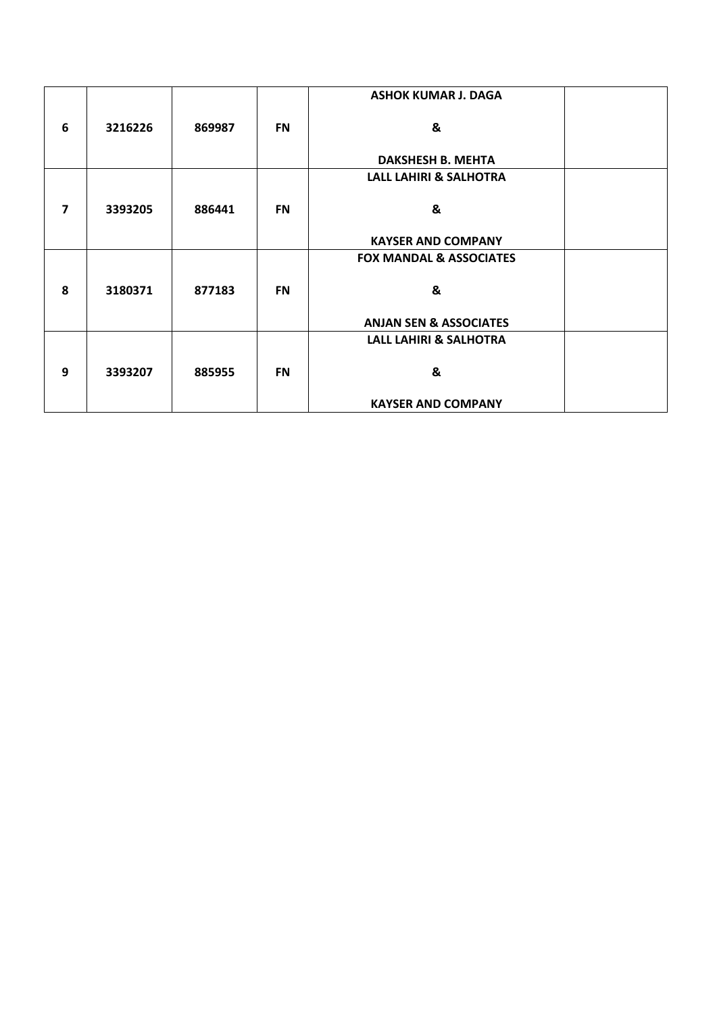|              |         |        |           | <b>ASHOK KUMAR J. DAGA</b>         |  |
|--------------|---------|--------|-----------|------------------------------------|--|
|              |         |        |           |                                    |  |
| 6            | 3216226 | 869987 | <b>FN</b> | &                                  |  |
|              |         |        |           | <b>DAKSHESH B. MEHTA</b>           |  |
|              |         |        |           | <b>LALL LAHIRI &amp; SALHOTRA</b>  |  |
|              |         |        |           |                                    |  |
| 7            | 3393205 | 886441 | <b>FN</b> | &                                  |  |
|              |         |        |           |                                    |  |
|              |         |        |           | <b>KAYSER AND COMPANY</b>          |  |
|              |         |        |           | <b>FOX MANDAL &amp; ASSOCIATES</b> |  |
|              |         |        |           |                                    |  |
| $\mathbf{8}$ | 3180371 | 877183 | <b>FN</b> | &                                  |  |
|              |         |        |           |                                    |  |
|              |         |        |           | <b>ANJAN SEN &amp; ASSOCIATES</b>  |  |
|              |         |        |           | <b>LALL LAHIRI &amp; SALHOTRA</b>  |  |
|              |         |        |           |                                    |  |
| 9            | 3393207 | 885955 | <b>FN</b> | &                                  |  |
|              |         |        |           |                                    |  |
|              |         |        |           | <b>KAYSER AND COMPANY</b>          |  |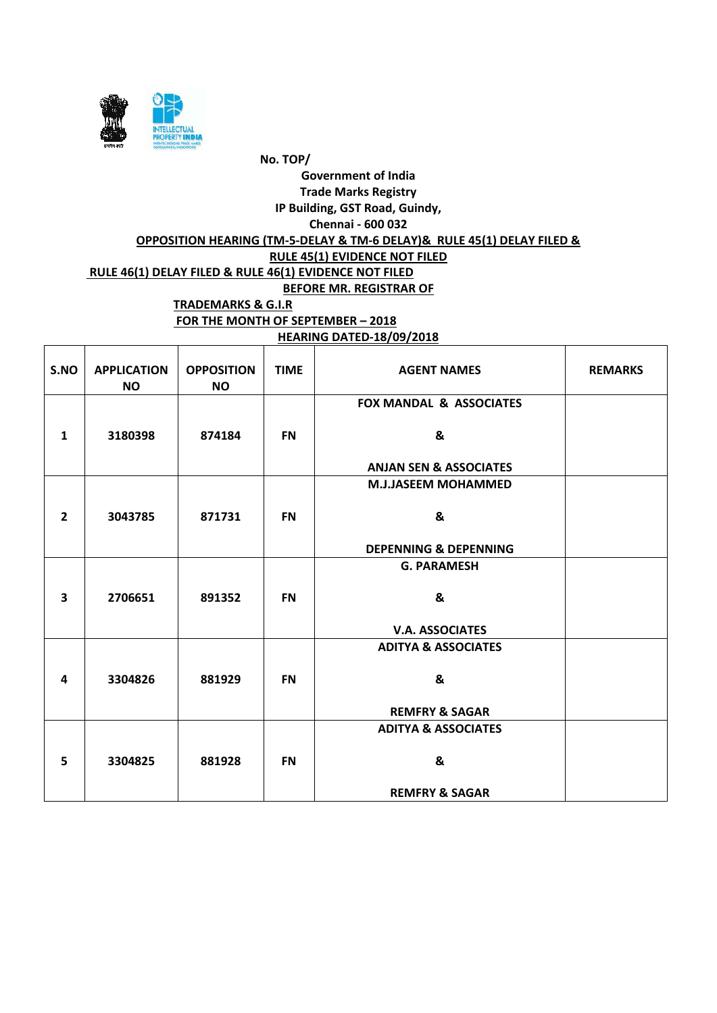

**HEARING DATED-18/09/2018**

| S.NO                    | <b>APPLICATION</b><br><b>NO</b> | <b>OPPOSITION</b><br><b>NO</b> | <b>TIME</b> | <b>AGENT NAMES</b>                 | <b>REMARKS</b> |
|-------------------------|---------------------------------|--------------------------------|-------------|------------------------------------|----------------|
|                         |                                 |                                |             | <b>FOX MANDAL &amp; ASSOCIATES</b> |                |
| $\mathbf{1}$            | 3180398                         | 874184                         | <b>FN</b>   | &                                  |                |
|                         |                                 |                                |             | <b>ANJAN SEN &amp; ASSOCIATES</b>  |                |
|                         |                                 |                                |             | <b>M.J.JASEEM MOHAMMED</b>         |                |
|                         |                                 |                                |             |                                    |                |
| $\overline{2}$          | 3043785                         | 871731                         | <b>FN</b>   | &                                  |                |
|                         |                                 |                                |             |                                    |                |
|                         |                                 |                                |             | <b>DEPENNING &amp; DEPENNING</b>   |                |
|                         |                                 |                                |             | <b>G. PARAMESH</b>                 |                |
|                         |                                 |                                |             |                                    |                |
| $\overline{\mathbf{3}}$ | 2706651                         | 891352                         | <b>FN</b>   | &                                  |                |
|                         |                                 |                                |             |                                    |                |
|                         |                                 |                                |             | <b>V.A. ASSOCIATES</b>             |                |
|                         |                                 |                                |             | <b>ADITYA &amp; ASSOCIATES</b>     |                |
|                         |                                 |                                |             |                                    |                |
| $\overline{\mathbf{4}}$ | 3304826                         | 881929                         | <b>FN</b>   | &                                  |                |
|                         |                                 |                                |             | <b>REMFRY &amp; SAGAR</b>          |                |
|                         |                                 |                                |             |                                    |                |
|                         |                                 |                                |             | <b>ADITYA &amp; ASSOCIATES</b>     |                |
| 5                       | 3304825                         | 881928                         | <b>FN</b>   | &                                  |                |
|                         |                                 |                                |             |                                    |                |
|                         |                                 |                                |             | <b>REMFRY &amp; SAGAR</b>          |                |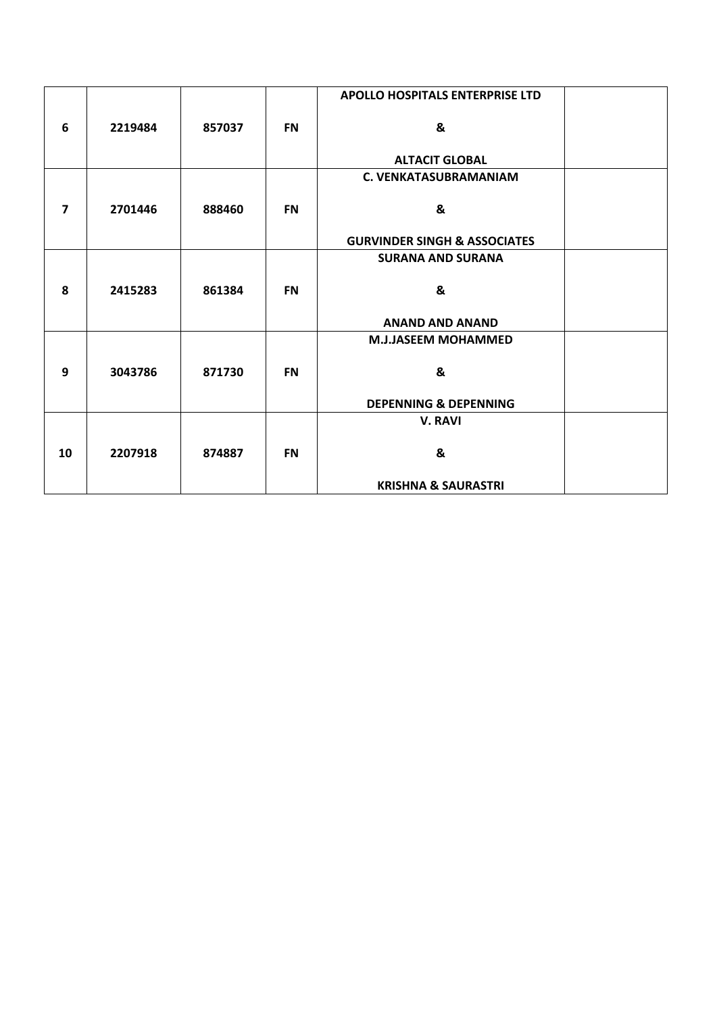|                |         |        |           | <b>APOLLO HOSPITALS ENTERPRISE LTD</b>  |  |
|----------------|---------|--------|-----------|-----------------------------------------|--|
| 6              | 2219484 | 857037 | <b>FN</b> | &                                       |  |
|                |         |        |           | <b>ALTACIT GLOBAL</b>                   |  |
|                |         |        |           | <b>C. VENKATASUBRAMANIAM</b>            |  |
| $\overline{7}$ | 2701446 | 888460 | <b>FN</b> | &                                       |  |
|                |         |        |           | <b>GURVINDER SINGH &amp; ASSOCIATES</b> |  |
|                |         |        |           | <b>SURANA AND SURANA</b>                |  |
| 8              | 2415283 | 861384 | <b>FN</b> | &                                       |  |
|                |         |        |           | <b>ANAND AND ANAND</b>                  |  |
|                |         |        |           | <b>M.J.JASEEM MOHAMMED</b>              |  |
| 9              | 3043786 | 871730 | <b>FN</b> | &                                       |  |
|                |         |        |           | <b>DEPENNING &amp; DEPENNING</b>        |  |
|                |         |        |           | <b>V. RAVI</b>                          |  |
| 10             | 2207918 | 874887 | <b>FN</b> | &                                       |  |
|                |         |        |           | <b>KRISHNA &amp; SAURASTRI</b>          |  |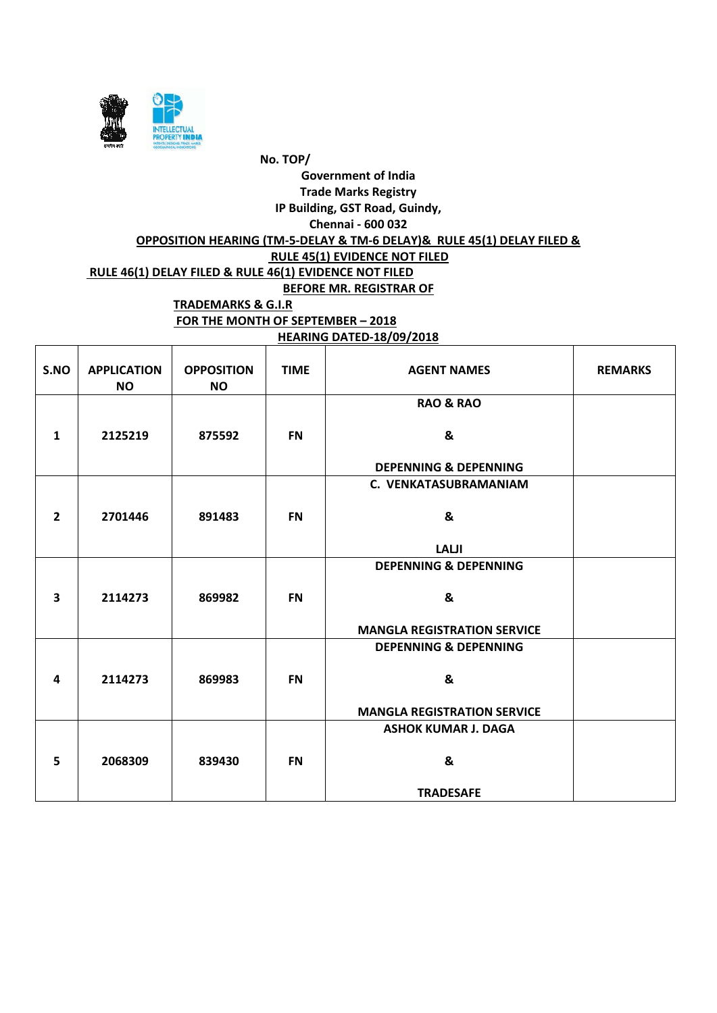

**HEARING DATED-18/09/2018**

| S.NO                    | <b>APPLICATION</b><br><b>NO</b> | <b>OPPOSITION</b><br><b>NO</b> | <b>TIME</b> | <b>AGENT NAMES</b>                 | <b>REMARKS</b> |
|-------------------------|---------------------------------|--------------------------------|-------------|------------------------------------|----------------|
|                         |                                 |                                |             | <b>RAO &amp; RAO</b>               |                |
| $\mathbf{1}$            | 2125219                         | 875592                         | <b>FN</b>   | &                                  |                |
|                         |                                 |                                |             | <b>DEPENNING &amp; DEPENNING</b>   |                |
|                         |                                 |                                |             | C. VENKATASUBRAMANIAM              |                |
|                         |                                 |                                |             |                                    |                |
| $\overline{2}$          | 2701446                         | 891483                         | <b>FN</b>   | &                                  |                |
|                         |                                 |                                |             |                                    |                |
|                         |                                 |                                |             | <b>LALJI</b>                       |                |
|                         |                                 |                                |             | <b>DEPENNING &amp; DEPENNING</b>   |                |
|                         |                                 |                                |             |                                    |                |
| $\overline{\mathbf{3}}$ | 2114273                         | 869982                         | <b>FN</b>   | &                                  |                |
|                         |                                 |                                |             |                                    |                |
|                         |                                 |                                |             | <b>MANGLA REGISTRATION SERVICE</b> |                |
|                         |                                 |                                |             | <b>DEPENNING &amp; DEPENNING</b>   |                |
|                         |                                 |                                |             |                                    |                |
| 4                       | 2114273                         | 869983                         | <b>FN</b>   | &                                  |                |
|                         |                                 |                                |             |                                    |                |
|                         |                                 |                                |             | <b>MANGLA REGISTRATION SERVICE</b> |                |
|                         |                                 |                                |             | <b>ASHOK KUMAR J. DAGA</b>         |                |
| 5                       | 2068309                         | 839430                         | <b>FN</b>   | &                                  |                |
|                         |                                 |                                |             |                                    |                |
|                         |                                 |                                |             | <b>TRADESAFE</b>                   |                |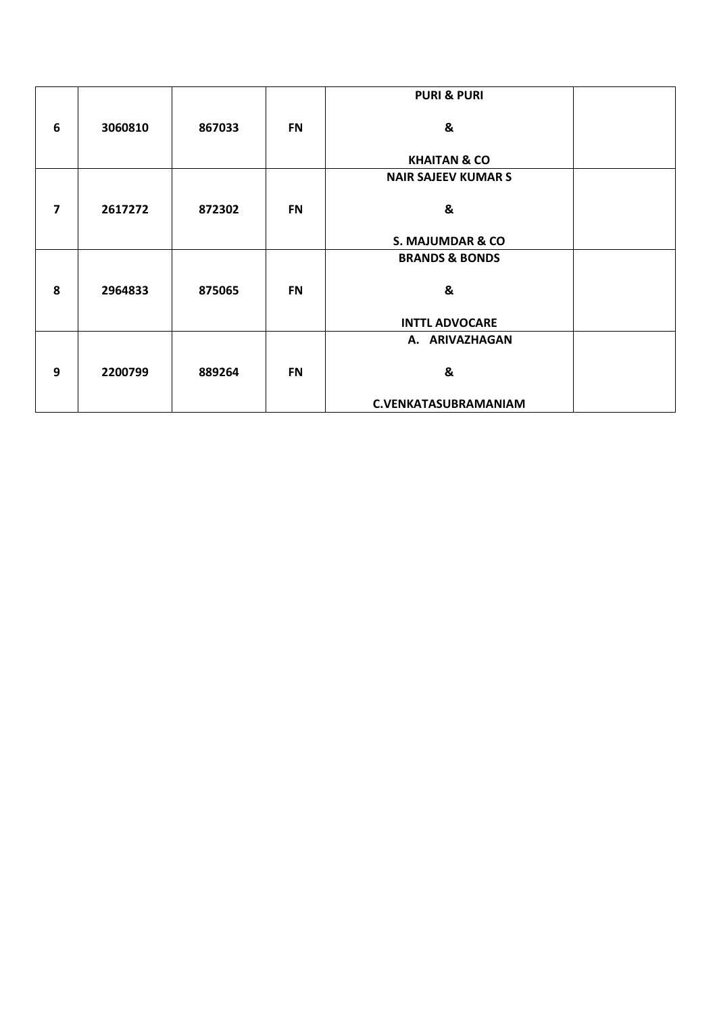|                         |         |        |           | <b>PURI &amp; PURI</b>      |  |
|-------------------------|---------|--------|-----------|-----------------------------|--|
| 6                       | 3060810 | 867033 | <b>FN</b> | &                           |  |
|                         |         |        |           |                             |  |
|                         |         |        |           | <b>KHAITAN &amp; CO</b>     |  |
|                         |         |        |           | <b>NAIR SAJEEV KUMAR S</b>  |  |
|                         |         |        |           |                             |  |
| $\overline{\mathbf{z}}$ | 2617272 | 872302 | <b>FN</b> | &                           |  |
|                         |         |        |           |                             |  |
|                         |         |        |           | S. MAJUMDAR & CO            |  |
|                         |         |        |           | <b>BRANDS &amp; BONDS</b>   |  |
|                         |         |        |           |                             |  |
| 8                       | 2964833 | 875065 | <b>FN</b> | &                           |  |
|                         |         |        |           |                             |  |
|                         |         |        |           | <b>INTTL ADVOCARE</b>       |  |
|                         |         |        |           | A. ARIVAZHAGAN              |  |
|                         |         |        |           |                             |  |
| 9                       | 2200799 | 889264 | <b>FN</b> | &                           |  |
|                         |         |        |           |                             |  |
|                         |         |        |           | <b>C.VENKATASUBRAMANIAM</b> |  |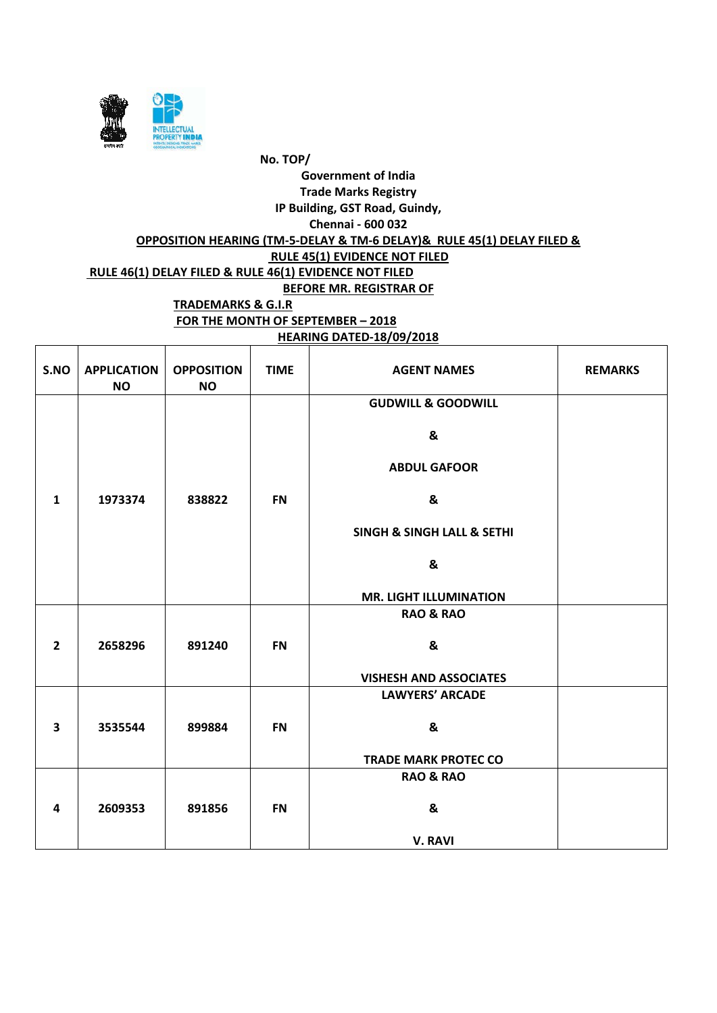

**HEARING DATED-18/09/2018**

| S.NO                    | <b>APPLICATION</b><br><b>NO</b> | <b>OPPOSITION</b><br><b>NO</b> | <b>TIME</b> | <b>AGENT NAMES</b>            | <b>REMARKS</b> |
|-------------------------|---------------------------------|--------------------------------|-------------|-------------------------------|----------------|
|                         |                                 |                                |             | <b>GUDWILL &amp; GOODWILL</b> |                |
|                         |                                 |                                |             | &                             |                |
|                         |                                 |                                |             | <b>ABDUL GAFOOR</b>           |                |
| $\mathbf{1}$            | 1973374                         | 838822                         | <b>FN</b>   | &                             |                |
|                         |                                 |                                |             | SINGH & SINGH LALL & SETHI    |                |
|                         |                                 |                                |             | &                             |                |
|                         |                                 |                                |             | <b>MR. LIGHT ILLUMINATION</b> |                |
|                         |                                 |                                |             | <b>RAO &amp; RAO</b>          |                |
| $\overline{2}$          | 2658296                         | 891240                         | <b>FN</b>   | &                             |                |
|                         |                                 |                                |             | <b>VISHESH AND ASSOCIATES</b> |                |
|                         |                                 |                                |             | <b>LAWYERS' ARCADE</b>        |                |
| $\overline{\mathbf{3}}$ | 3535544                         | 899884                         | <b>FN</b>   | &                             |                |
|                         |                                 |                                |             | <b>TRADE MARK PROTEC CO</b>   |                |
|                         |                                 |                                |             | <b>RAO &amp; RAO</b>          |                |
| 4                       | 2609353                         | 891856                         | <b>FN</b>   | &                             |                |
|                         |                                 |                                |             | <b>V. RAVI</b>                |                |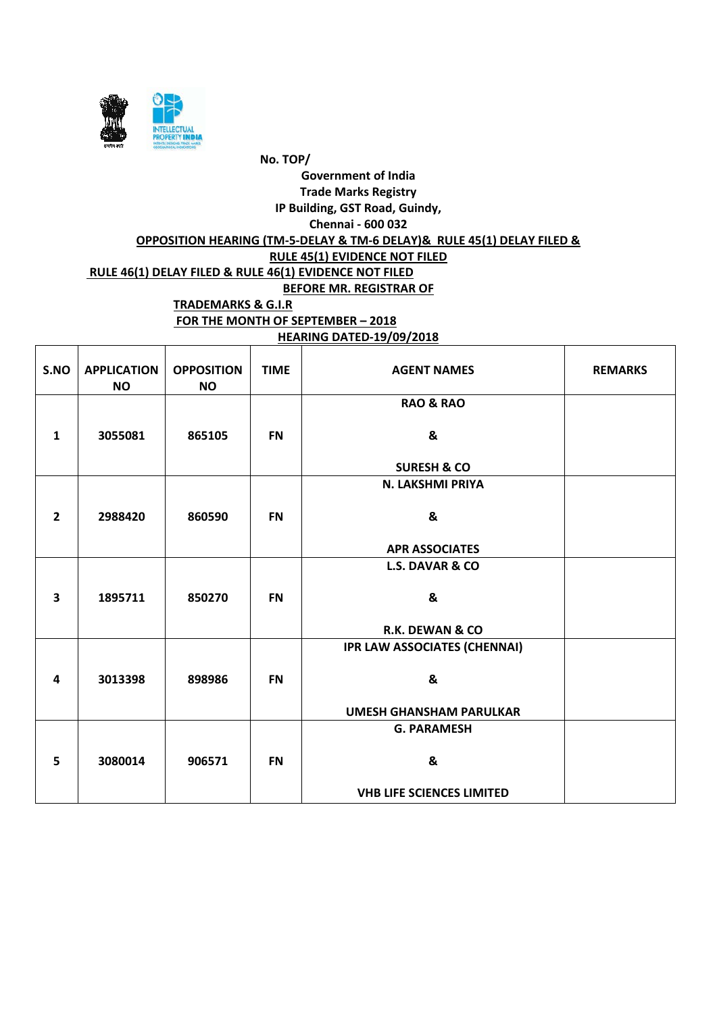

**HEARING DATED-19/09/2018**

| S.NO                    | <b>APPLICATION</b><br><b>NO</b> | <b>OPPOSITION</b><br><b>NO</b> | <b>TIME</b> | <b>AGENT NAMES</b>                  | <b>REMARKS</b> |
|-------------------------|---------------------------------|--------------------------------|-------------|-------------------------------------|----------------|
|                         |                                 |                                |             | <b>RAO &amp; RAO</b>                |                |
| $\mathbf{1}$            | 3055081                         | 865105                         | <b>FN</b>   | &                                   |                |
|                         |                                 |                                |             | <b>SURESH &amp; CO</b>              |                |
|                         |                                 |                                |             | N. LAKSHMI PRIYA                    |                |
| $\overline{2}$          | 2988420                         | 860590                         | <b>FN</b>   | &                                   |                |
|                         |                                 |                                |             | <b>APR ASSOCIATES</b>               |                |
|                         |                                 |                                |             | <b>L.S. DAVAR &amp; CO</b>          |                |
| $\overline{\mathbf{3}}$ | 1895711                         | 850270                         | <b>FN</b>   | $\boldsymbol{8}$                    |                |
|                         |                                 |                                |             | <b>R.K. DEWAN &amp; CO</b>          |                |
|                         |                                 |                                |             | <b>IPR LAW ASSOCIATES (CHENNAI)</b> |                |
| 4                       | 3013398                         | 898986                         | <b>FN</b>   | &                                   |                |
|                         |                                 |                                |             | <b>UMESH GHANSHAM PARULKAR</b>      |                |
|                         |                                 |                                |             | <b>G. PARAMESH</b>                  |                |
| 5                       | 3080014                         | 906571                         | <b>FN</b>   | &                                   |                |
|                         |                                 |                                |             | <b>VHB LIFE SCIENCES LIMITED</b>    |                |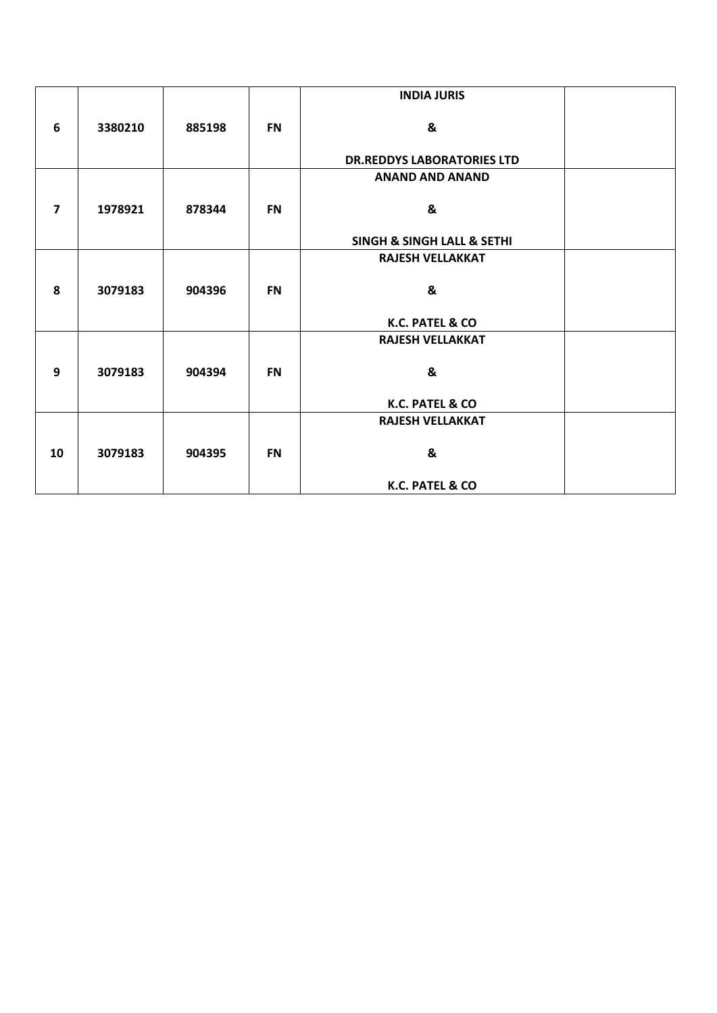|                         |         |        |           | <b>INDIA JURIS</b>                        |  |
|-------------------------|---------|--------|-----------|-------------------------------------------|--|
|                         |         |        |           |                                           |  |
| 6                       | 3380210 | 885198 | <b>FN</b> | &                                         |  |
|                         |         |        |           |                                           |  |
|                         |         |        |           | <b>DR.REDDYS LABORATORIES LTD</b>         |  |
|                         |         |        |           | <b>ANAND AND ANAND</b>                    |  |
|                         |         |        |           |                                           |  |
| $\overline{\mathbf{z}}$ | 1978921 | 878344 | <b>FN</b> | &                                         |  |
|                         |         |        |           | <b>SINGH &amp; SINGH LALL &amp; SETHI</b> |  |
|                         |         |        |           |                                           |  |
|                         |         |        |           | <b>RAJESH VELLAKKAT</b>                   |  |
| 8                       | 3079183 | 904396 | <b>FN</b> | &                                         |  |
|                         |         |        |           |                                           |  |
|                         |         |        |           | K.C. PATEL & CO                           |  |
|                         |         |        |           |                                           |  |
|                         |         |        |           | <b>RAJESH VELLAKKAT</b>                   |  |
| 9                       | 3079183 | 904394 | <b>FN</b> | &                                         |  |
|                         |         |        |           |                                           |  |
|                         |         |        |           | K.C. PATEL & CO                           |  |
|                         |         |        |           |                                           |  |
|                         |         |        |           | <b>RAJESH VELLAKKAT</b>                   |  |
|                         |         |        |           |                                           |  |
| 10                      | 3079183 | 904395 | <b>FN</b> | &                                         |  |
|                         |         |        |           | K.C. PATEL & CO                           |  |
|                         |         |        |           |                                           |  |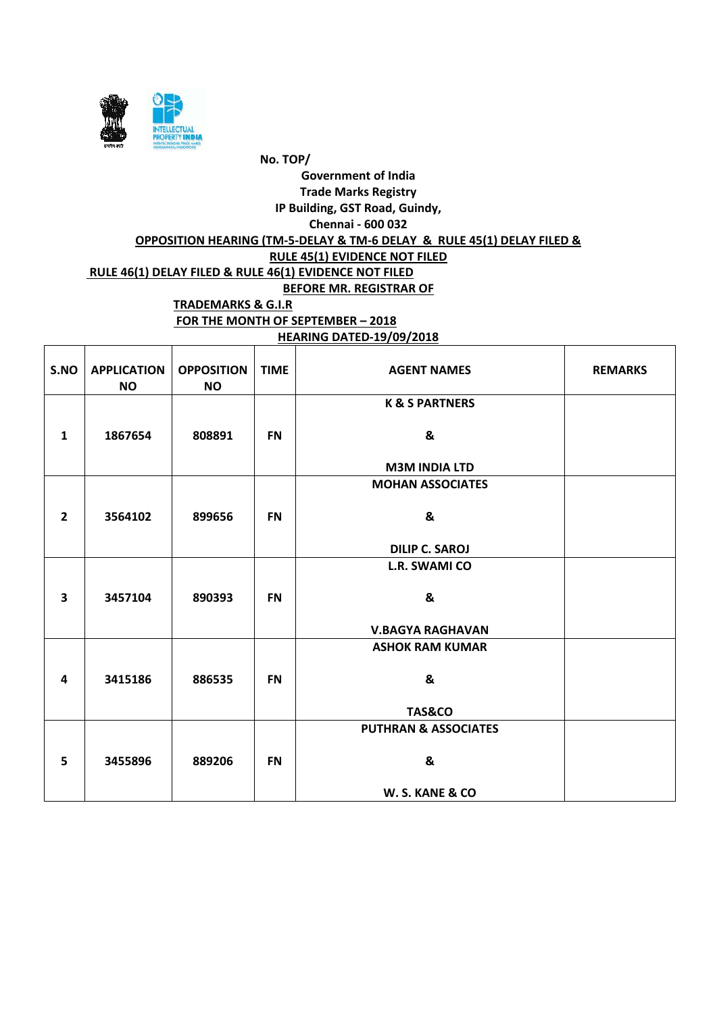

#### **HEARING DATED-19/09/2018**

| S.NO                    | <b>APPLICATION</b><br><b>NO</b> | <b>OPPOSITION</b><br><b>NO</b> | <b>TIME</b> | <b>AGENT NAMES</b>              | <b>REMARKS</b> |
|-------------------------|---------------------------------|--------------------------------|-------------|---------------------------------|----------------|
|                         |                                 |                                |             | <b>K &amp; S PARTNERS</b>       |                |
| $\mathbf{1}$            | 1867654                         | 808891                         | <b>FN</b>   | &                               |                |
|                         |                                 |                                |             | <b>M3M INDIA LTD</b>            |                |
|                         |                                 |                                |             | <b>MOHAN ASSOCIATES</b>         |                |
|                         |                                 |                                |             |                                 |                |
| $\overline{2}$          | 3564102                         | 899656                         | <b>FN</b>   | &                               |                |
|                         |                                 |                                |             |                                 |                |
|                         |                                 |                                |             | <b>DILIP C. SAROJ</b>           |                |
|                         |                                 |                                |             | <b>L.R. SWAMI CO</b>            |                |
| $\overline{\mathbf{3}}$ | 3457104                         | 890393                         | <b>FN</b>   | &                               |                |
|                         |                                 |                                |             | <b>V.BAGYA RAGHAVAN</b>         |                |
|                         |                                 |                                |             | <b>ASHOK RAM KUMAR</b>          |                |
|                         |                                 |                                |             |                                 |                |
| 4                       | 3415186                         | 886535                         | <b>FN</b>   | &                               |                |
|                         |                                 |                                |             |                                 |                |
|                         |                                 |                                |             | <b>TAS&amp;CO</b>               |                |
|                         |                                 |                                |             | <b>PUTHRAN &amp; ASSOCIATES</b> |                |
|                         |                                 |                                |             |                                 |                |
| 5                       | 3455896                         | 889206                         | <b>FN</b>   | &                               |                |
|                         |                                 |                                |             | W. S. KANE & CO                 |                |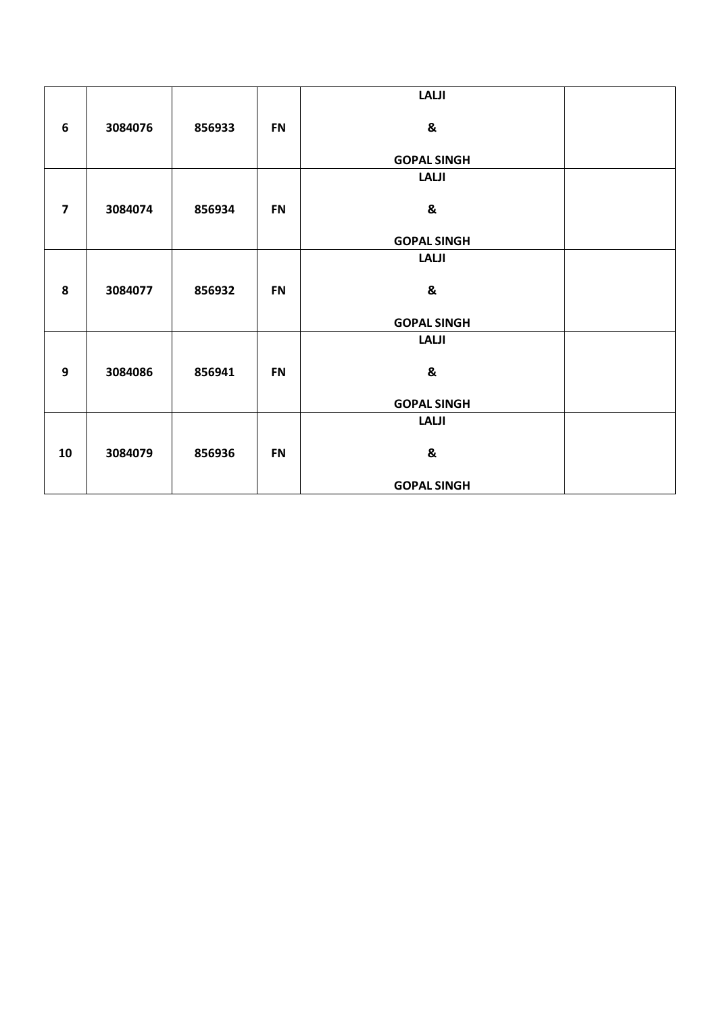|                         |         |        |           | <b>LALJI</b>       |
|-------------------------|---------|--------|-----------|--------------------|
| $6\phantom{1}6$         | 3084076 | 856933 | <b>FN</b> | &                  |
|                         |         |        |           | <b>GOPAL SINGH</b> |
|                         |         |        |           | <b>LALJI</b>       |
| $\overline{\mathbf{z}}$ | 3084074 | 856934 | <b>FN</b> | &                  |
|                         |         |        |           | <b>GOPAL SINGH</b> |
|                         |         |        |           | <b>LALJI</b>       |
| 8                       | 3084077 | 856932 | <b>FN</b> | &                  |
|                         |         |        |           | <b>GOPAL SINGH</b> |
|                         |         |        |           | <b>LALJI</b>       |
| 9                       | 3084086 | 856941 | <b>FN</b> | &                  |
|                         |         |        |           | <b>GOPAL SINGH</b> |
|                         |         |        |           | <b>LALJI</b>       |
| 10                      | 3084079 | 856936 | <b>FN</b> | &                  |
|                         |         |        |           | <b>GOPAL SINGH</b> |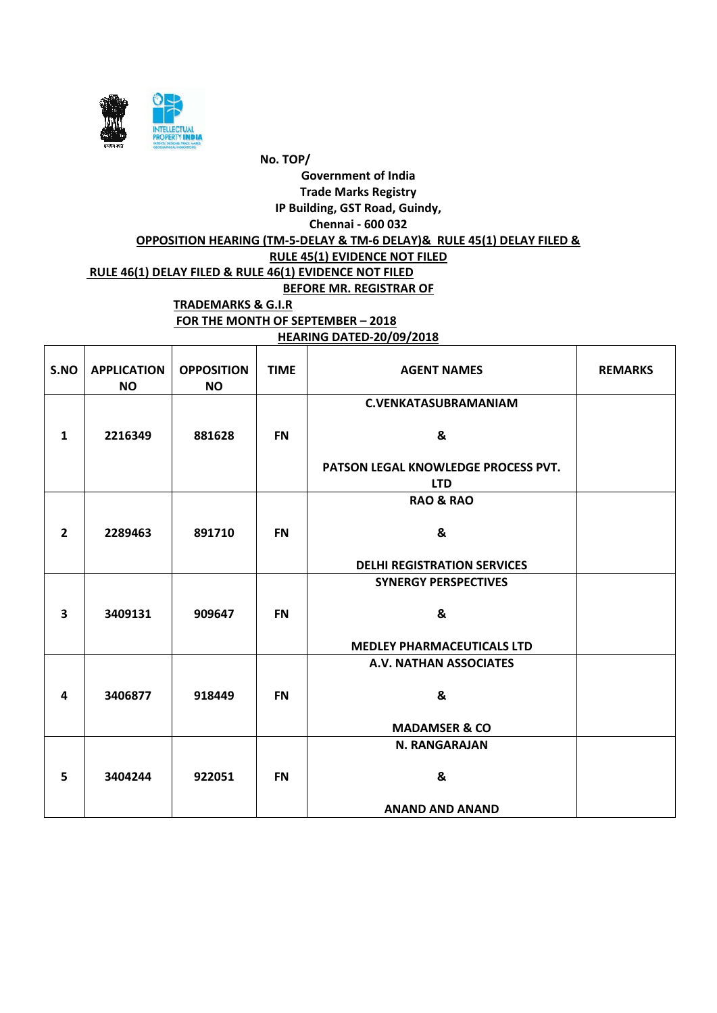

#### **HEARING DATED-20/09/2018**

| S.NO                    | <b>APPLICATION</b><br><b>NO</b> | <b>OPPOSITION</b><br><b>NO</b> | <b>TIME</b> | <b>AGENT NAMES</b>                  | <b>REMARKS</b> |
|-------------------------|---------------------------------|--------------------------------|-------------|-------------------------------------|----------------|
|                         |                                 |                                |             | <b>C.VENKATASUBRAMANIAM</b>         |                |
| $\mathbf{1}$            | 2216349                         | 881628                         | <b>FN</b>   | &                                   |                |
|                         |                                 |                                |             | PATSON LEGAL KNOWLEDGE PROCESS PVT. |                |
|                         |                                 |                                |             | <b>LTD</b>                          |                |
|                         |                                 |                                |             | <b>RAO &amp; RAO</b>                |                |
| $\overline{2}$          | 2289463                         | 891710                         | <b>FN</b>   | &                                   |                |
|                         |                                 |                                |             | <b>DELHI REGISTRATION SERVICES</b>  |                |
|                         |                                 |                                |             | <b>SYNERGY PERSPECTIVES</b>         |                |
| $\overline{\mathbf{3}}$ | 3409131                         | 909647                         | <b>FN</b>   | &                                   |                |
|                         |                                 |                                |             | <b>MEDLEY PHARMACEUTICALS LTD</b>   |                |
|                         |                                 |                                |             | A.V. NATHAN ASSOCIATES              |                |
| 4                       | 3406877                         | 918449                         | <b>FN</b>   | &                                   |                |
|                         |                                 |                                |             | <b>MADAMSER &amp; CO</b>            |                |
|                         |                                 |                                |             | <b>N. RANGARAJAN</b>                |                |
| 5                       | 3404244                         | 922051                         | <b>FN</b>   | &                                   |                |
|                         |                                 |                                |             | <b>ANAND AND ANAND</b>              |                |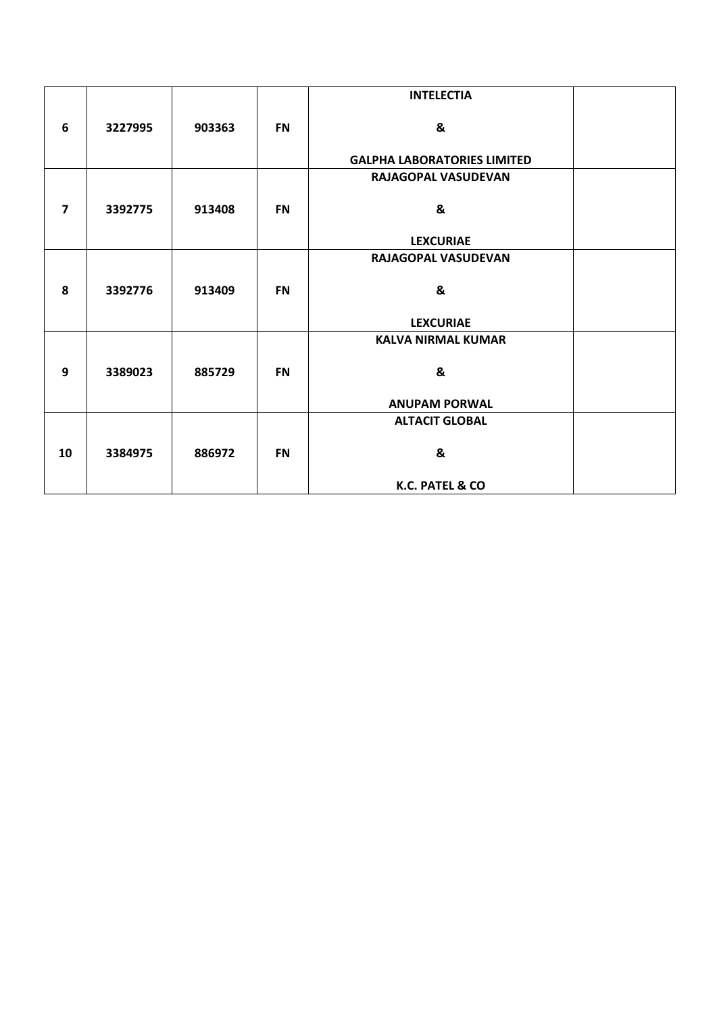|                         |         |        |           | <b>INTELECTIA</b>                  |  |
|-------------------------|---------|--------|-----------|------------------------------------|--|
| 6                       | 3227995 | 903363 | <b>FN</b> | &                                  |  |
|                         |         |        |           | <b>GALPHA LABORATORIES LIMITED</b> |  |
|                         |         |        |           | RAJAGOPAL VASUDEVAN                |  |
| $\overline{\mathbf{z}}$ | 3392775 | 913408 | <b>FN</b> | &                                  |  |
|                         |         |        |           | <b>LEXCURIAE</b>                   |  |
|                         |         |        |           | RAJAGOPAL VASUDEVAN                |  |
| 8                       | 3392776 | 913409 | <b>FN</b> | &                                  |  |
|                         |         |        |           | <b>LEXCURIAE</b>                   |  |
|                         |         |        |           | <b>KALVA NIRMAL KUMAR</b>          |  |
| 9                       | 3389023 | 885729 | <b>FN</b> | &                                  |  |
|                         |         |        |           | <b>ANUPAM PORWAL</b>               |  |
|                         |         |        |           | <b>ALTACIT GLOBAL</b>              |  |
| 10                      | 3384975 | 886972 | <b>FN</b> | &                                  |  |
|                         |         |        |           | K.C. PATEL & CO                    |  |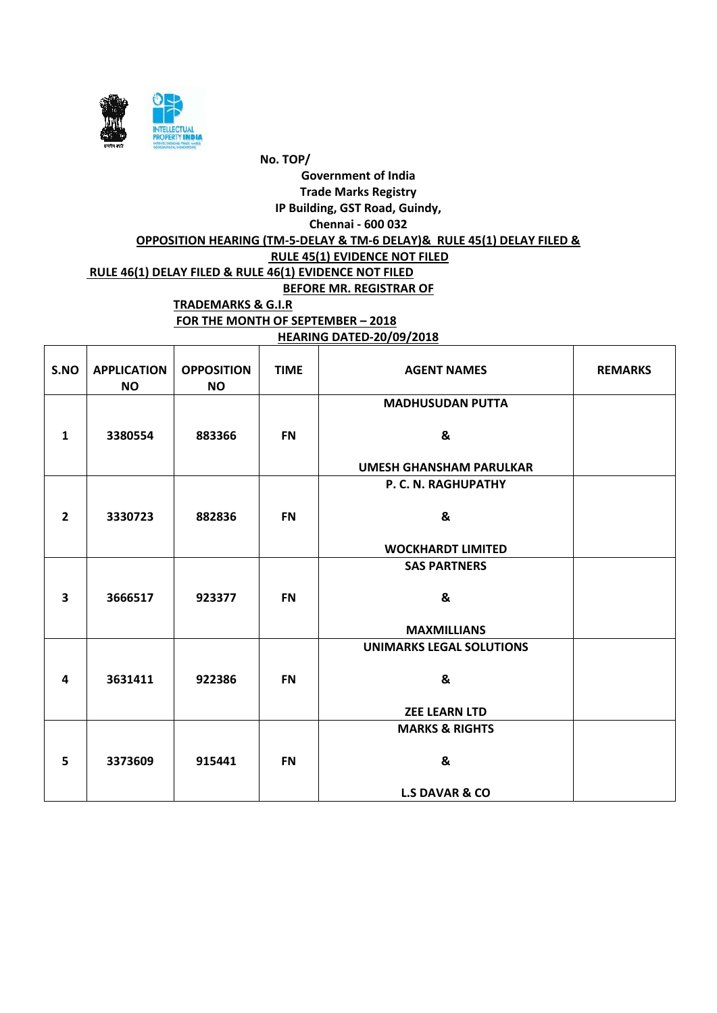

**HEARING DATED-20/09/2018**

| S.NO                    | <b>APPLICATION</b><br><b>NO</b> | <b>OPPOSITION</b><br><b>NO</b> | <b>TIME</b> | <b>AGENT NAMES</b>              | <b>REMARKS</b> |
|-------------------------|---------------------------------|--------------------------------|-------------|---------------------------------|----------------|
|                         |                                 |                                |             | <b>MADHUSUDAN PUTTA</b>         |                |
| $\mathbf{1}$            | 3380554                         | 883366                         | <b>FN</b>   | &                               |                |
|                         |                                 |                                |             | <b>UMESH GHANSHAM PARULKAR</b>  |                |
|                         |                                 |                                |             | P. C. N. RAGHUPATHY             |                |
| $\overline{2}$          | 3330723                         | 882836                         | <b>FN</b>   | &                               |                |
|                         |                                 |                                |             | <b>WOCKHARDT LIMITED</b>        |                |
|                         |                                 |                                |             | <b>SAS PARTNERS</b>             |                |
| $\overline{\mathbf{3}}$ | 3666517                         | 923377                         | <b>FN</b>   | &                               |                |
|                         |                                 |                                |             | <b>MAXMILLIANS</b>              |                |
|                         |                                 |                                |             | <b>UNIMARKS LEGAL SOLUTIONS</b> |                |
| 4                       | 3631411                         | 922386                         | <b>FN</b>   | &                               |                |
|                         |                                 |                                |             | <b>ZEE LEARN LTD</b>            |                |
|                         |                                 |                                |             | <b>MARKS &amp; RIGHTS</b>       |                |
| 5                       | 3373609                         | 915441                         | <b>FN</b>   | &                               |                |
|                         |                                 |                                |             | <b>L.S DAVAR &amp; CO</b>       |                |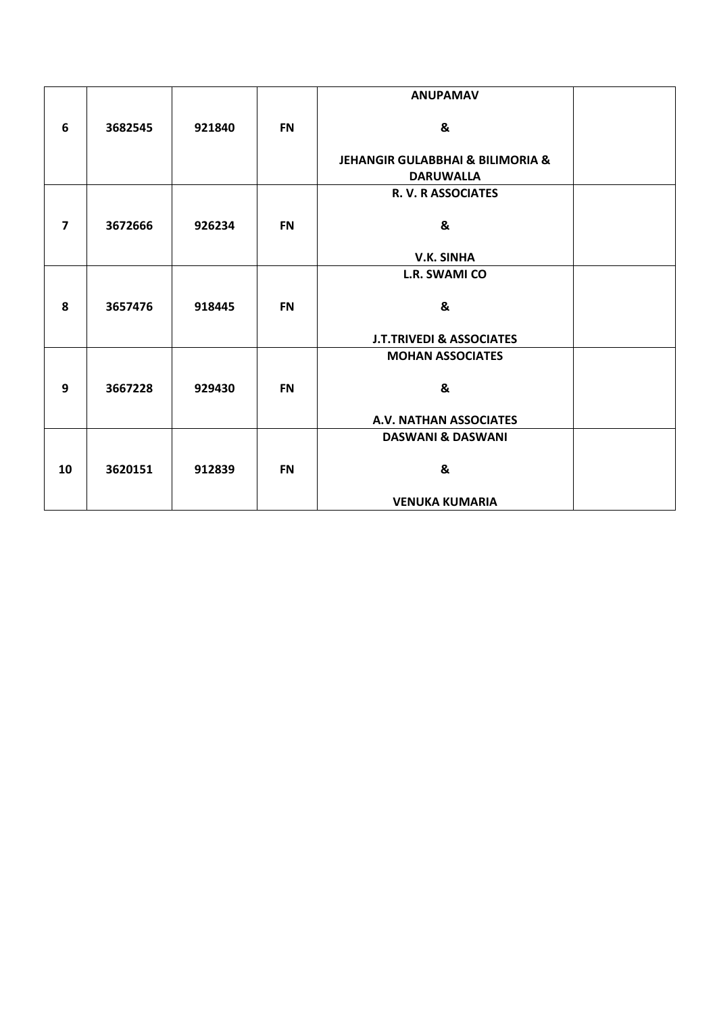|                         |         |        |           | <b>ANUPAMAV</b>                                                     |  |
|-------------------------|---------|--------|-----------|---------------------------------------------------------------------|--|
| 6                       | 3682545 | 921840 | <b>FN</b> | &                                                                   |  |
|                         |         |        |           | <b>JEHANGIR GULABBHAI &amp; BILIMORIA &amp;</b><br><b>DARUWALLA</b> |  |
|                         |         |        |           | R. V. R ASSOCIATES                                                  |  |
| $\overline{\mathbf{z}}$ | 3672666 | 926234 | <b>FN</b> | &                                                                   |  |
|                         |         |        |           | <b>V.K. SINHA</b>                                                   |  |
|                         |         |        |           | <b>L.R. SWAMI CO</b>                                                |  |
| 8                       | 3657476 | 918445 | <b>FN</b> | &                                                                   |  |
|                         |         |        |           | <b>J.T.TRIVEDI &amp; ASSOCIATES</b>                                 |  |
|                         |         |        |           | <b>MOHAN ASSOCIATES</b>                                             |  |
| 9                       | 3667228 | 929430 | <b>FN</b> | &                                                                   |  |
|                         |         |        |           | A.V. NATHAN ASSOCIATES                                              |  |
|                         |         |        |           | <b>DASWANI &amp; DASWANI</b>                                        |  |
| 10                      | 3620151 | 912839 | <b>FN</b> | &                                                                   |  |
|                         |         |        |           | <b>VENUKA KUMARIA</b>                                               |  |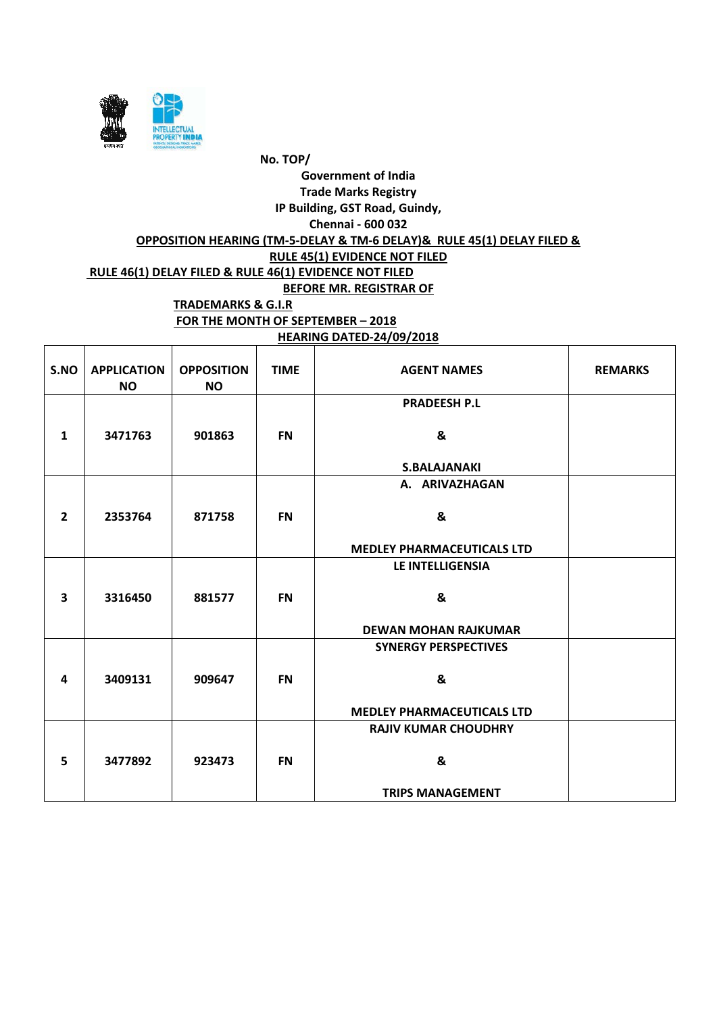

**HEARING DATED-24/09/2018**

| S.NO           | <b>APPLICATION</b><br><b>NO</b> | <b>OPPOSITION</b><br><b>NO</b> | <b>TIME</b> | <b>AGENT NAMES</b>                | <b>REMARKS</b> |
|----------------|---------------------------------|--------------------------------|-------------|-----------------------------------|----------------|
|                |                                 |                                |             | <b>PRADEESH P.L</b>               |                |
| $\mathbf{1}$   | 3471763                         | 901863                         | <b>FN</b>   | &                                 |                |
|                |                                 |                                |             | <b>S.BALAJANAKI</b>               |                |
|                |                                 |                                |             | A. ARIVAZHAGAN                    |                |
| $\overline{2}$ | 2353764                         | 871758                         | <b>FN</b>   | &                                 |                |
|                |                                 |                                |             | <b>MEDLEY PHARMACEUTICALS LTD</b> |                |
|                |                                 |                                |             | LE INTELLIGENSIA                  |                |
| 3              | 3316450                         | 881577                         | <b>FN</b>   | &                                 |                |
|                |                                 |                                |             | <b>DEWAN MOHAN RAJKUMAR</b>       |                |
|                |                                 |                                |             | <b>SYNERGY PERSPECTIVES</b>       |                |
| 4              | 3409131                         | 909647                         | <b>FN</b>   | &                                 |                |
|                |                                 |                                |             | <b>MEDLEY PHARMACEUTICALS LTD</b> |                |
|                |                                 |                                |             | <b>RAJIV KUMAR CHOUDHRY</b>       |                |
| 5              | 3477892                         | 923473                         | <b>FN</b>   | &                                 |                |
|                |                                 |                                |             | <b>TRIPS MANAGEMENT</b>           |                |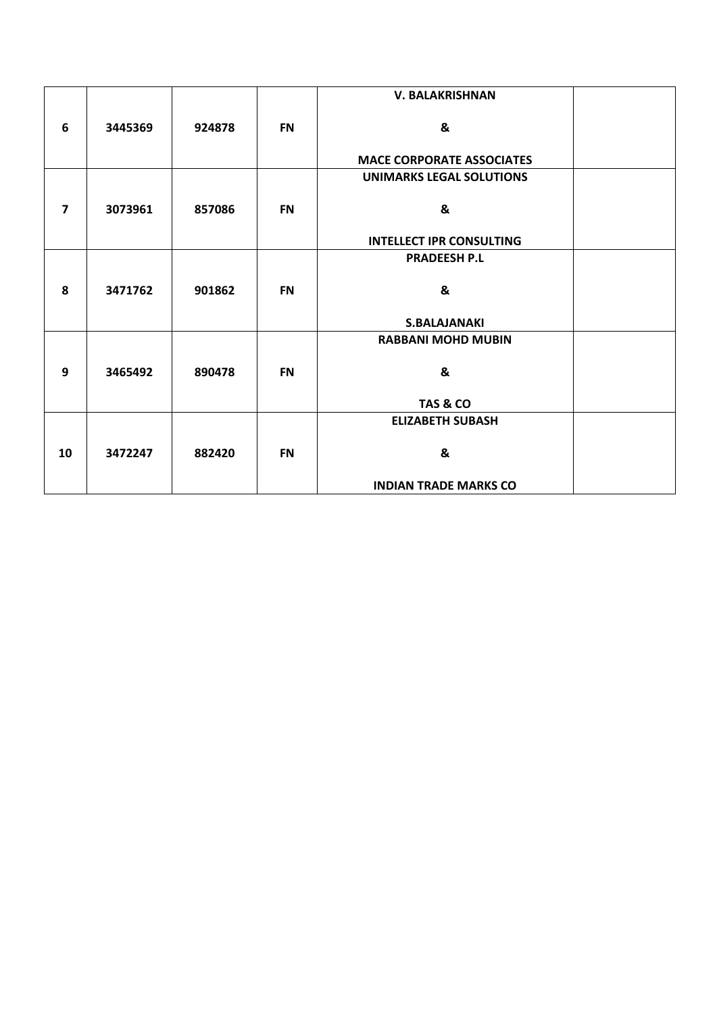|                |         |        |           | <b>V. BALAKRISHNAN</b>           |  |
|----------------|---------|--------|-----------|----------------------------------|--|
| 6              | 3445369 | 924878 | <b>FN</b> | &                                |  |
|                |         |        |           | <b>MACE CORPORATE ASSOCIATES</b> |  |
|                |         |        |           | <b>UNIMARKS LEGAL SOLUTIONS</b>  |  |
| $\overline{7}$ | 3073961 | 857086 | <b>FN</b> | &                                |  |
|                |         |        |           | <b>INTELLECT IPR CONSULTING</b>  |  |
|                |         |        |           | <b>PRADEESH P.L</b>              |  |
| 8              | 3471762 | 901862 | <b>FN</b> | &                                |  |
|                |         |        |           | <b>S.BALAJANAKI</b>              |  |
|                |         |        |           | <b>RABBANI MOHD MUBIN</b>        |  |
|                |         |        |           |                                  |  |
| 9              | 3465492 | 890478 | <b>FN</b> | &                                |  |
|                |         |        |           | TAS & CO                         |  |
|                |         |        |           | <b>ELIZABETH SUBASH</b>          |  |
| 10             | 3472247 | 882420 | <b>FN</b> | &                                |  |
|                |         |        |           | <b>INDIAN TRADE MARKS CO</b>     |  |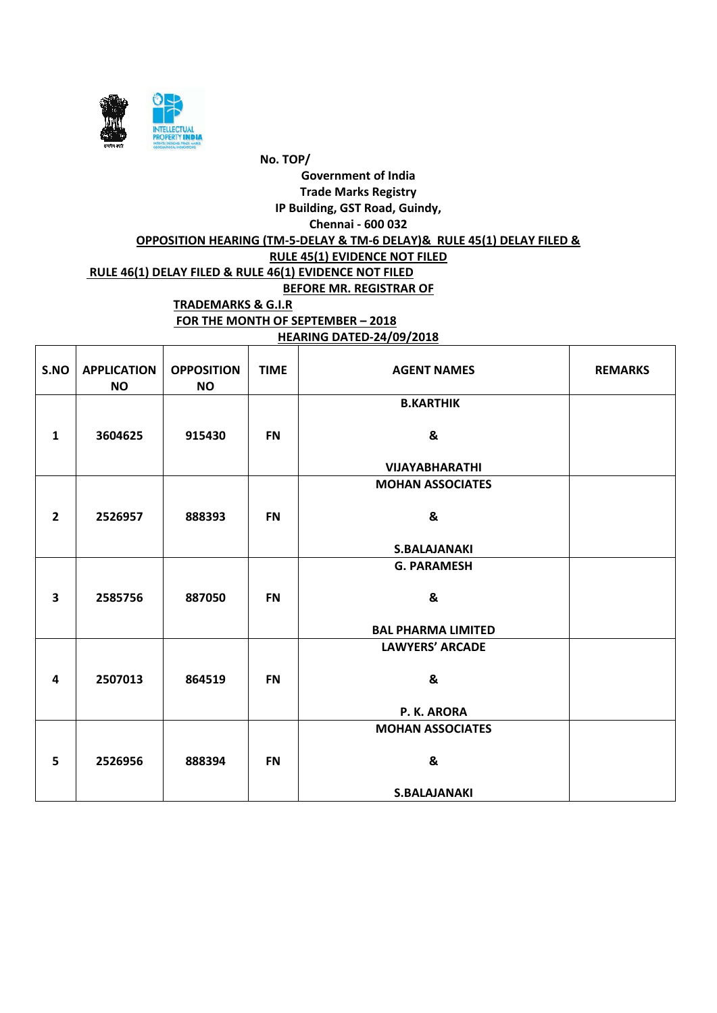

#### **HEARING DATED-24/09/2018**

| S.NO                    | <b>APPLICATION</b><br><b>NO</b> | <b>OPPOSITION</b><br><b>NO</b> | <b>TIME</b> | <b>AGENT NAMES</b>        | <b>REMARKS</b> |
|-------------------------|---------------------------------|--------------------------------|-------------|---------------------------|----------------|
|                         |                                 |                                |             | <b>B.KARTHIK</b>          |                |
| $\mathbf{1}$            | 3604625                         | 915430                         | <b>FN</b>   | &                         |                |
|                         |                                 |                                |             | <b>VIJAYABHARATHI</b>     |                |
|                         |                                 |                                |             | <b>MOHAN ASSOCIATES</b>   |                |
|                         |                                 |                                |             |                           |                |
| $\overline{2}$          | 2526957                         | 888393                         | <b>FN</b>   | &                         |                |
|                         |                                 |                                |             |                           |                |
|                         |                                 |                                |             | <b>S.BALAJANAKI</b>       |                |
|                         |                                 |                                |             | <b>G. PARAMESH</b>        |                |
|                         |                                 |                                |             |                           |                |
| $\overline{\mathbf{3}}$ | 2585756                         | 887050                         | <b>FN</b>   | &                         |                |
|                         |                                 |                                |             | <b>BAL PHARMA LIMITED</b> |                |
|                         |                                 |                                |             | <b>LAWYERS' ARCADE</b>    |                |
|                         |                                 |                                |             |                           |                |
| 4                       | 2507013                         | 864519                         | <b>FN</b>   | &                         |                |
|                         |                                 |                                |             |                           |                |
|                         |                                 |                                |             | P. K. ARORA               |                |
|                         |                                 |                                |             | <b>MOHAN ASSOCIATES</b>   |                |
|                         |                                 |                                |             |                           |                |
| 5                       | 2526956                         | 888394                         | <b>FN</b>   | &                         |                |
|                         |                                 |                                |             |                           |                |
|                         |                                 |                                |             | <b>S.BALAJANAKI</b>       |                |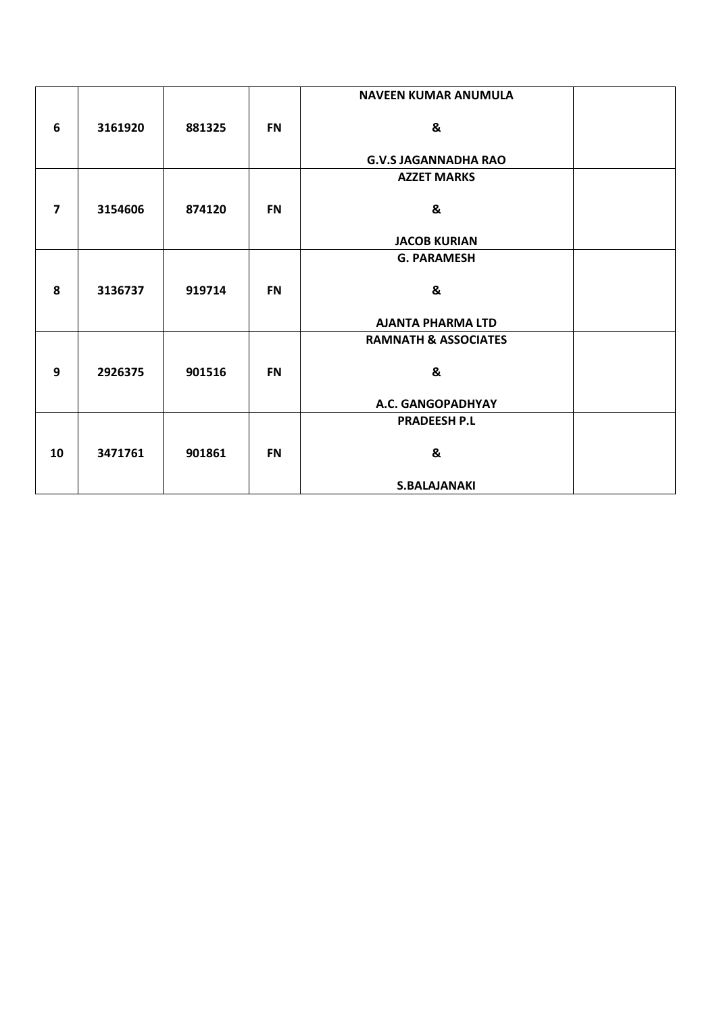|                         |         |        |           | <b>NAVEEN KUMAR ANUMULA</b>     |  |
|-------------------------|---------|--------|-----------|---------------------------------|--|
| 6                       | 3161920 | 881325 | <b>FN</b> | &                               |  |
|                         |         |        |           | <b>G.V.S JAGANNADHA RAO</b>     |  |
|                         |         |        |           | <b>AZZET MARKS</b>              |  |
| $\overline{\mathbf{z}}$ | 3154606 | 874120 | <b>FN</b> | &                               |  |
|                         |         |        |           | <b>JACOB KURIAN</b>             |  |
|                         |         |        |           | <b>G. PARAMESH</b>              |  |
| 8                       | 3136737 | 919714 | <b>FN</b> | &                               |  |
|                         |         |        |           | <b>AJANTA PHARMA LTD</b>        |  |
|                         |         |        |           | <b>RAMNATH &amp; ASSOCIATES</b> |  |
| 9                       | 2926375 | 901516 | <b>FN</b> | &                               |  |
|                         |         |        |           | A.C. GANGOPADHYAY               |  |
|                         |         |        |           | <b>PRADEESH P.L</b>             |  |
| 10                      | 3471761 | 901861 | <b>FN</b> | &                               |  |
|                         |         |        |           | <b>S.BALAJANAKI</b>             |  |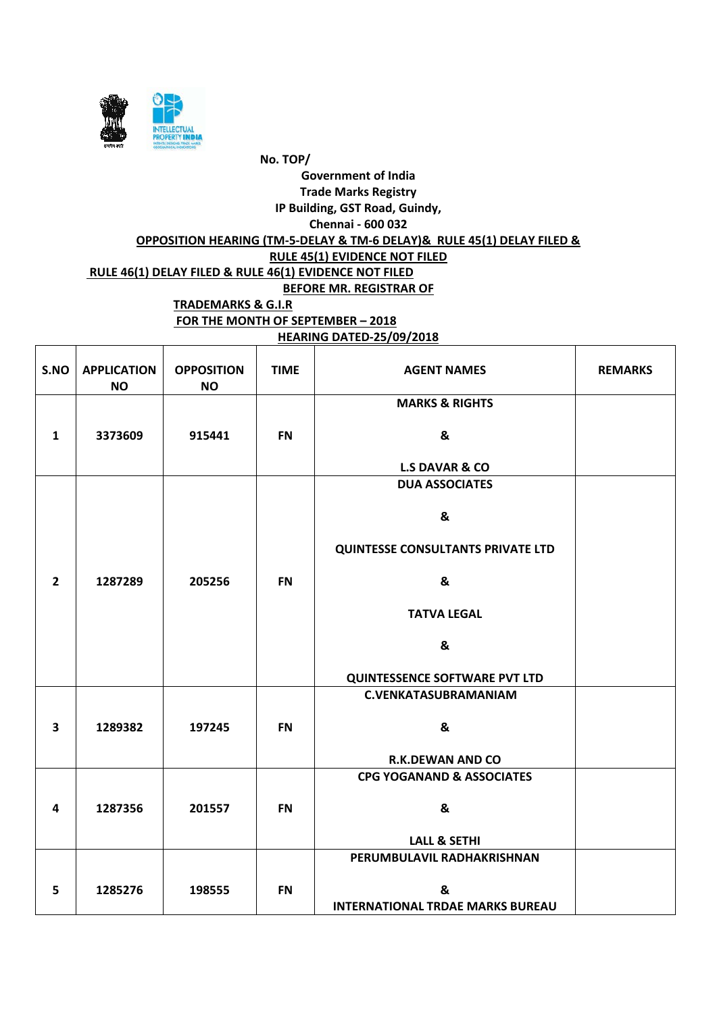

**HEARING DATED-25/09/2018**

| S.NO                    | <b>APPLICATION</b><br><b>NO</b> | <b>OPPOSITION</b><br><b>NO</b> | <b>TIME</b> | <b>AGENT NAMES</b>                           | <b>REMARKS</b> |
|-------------------------|---------------------------------|--------------------------------|-------------|----------------------------------------------|----------------|
|                         |                                 |                                |             | <b>MARKS &amp; RIGHTS</b>                    |                |
| $\mathbf{1}$            | 3373609                         | 915441                         | <b>FN</b>   | &                                            |                |
|                         |                                 |                                |             | <b>L.S DAVAR &amp; CO</b>                    |                |
|                         |                                 |                                |             | <b>DUA ASSOCIATES</b>                        |                |
|                         |                                 |                                |             | &                                            |                |
|                         |                                 |                                |             | <b>QUINTESSE CONSULTANTS PRIVATE LTD</b>     |                |
| $\overline{2}$          | 1287289                         | 205256                         | <b>FN</b>   | &                                            |                |
|                         |                                 |                                |             | <b>TATVA LEGAL</b>                           |                |
|                         |                                 |                                |             | &                                            |                |
|                         |                                 |                                |             | <b>QUINTESSENCE SOFTWARE PVT LTD</b>         |                |
|                         |                                 |                                |             | <b>C.VENKATASUBRAMANIAM</b>                  |                |
| $\overline{\mathbf{3}}$ | 1289382                         | 197245                         | <b>FN</b>   | &                                            |                |
|                         |                                 |                                |             | <b>R.K.DEWAN AND CO</b>                      |                |
|                         |                                 |                                |             | <b>CPG YOGANAND &amp; ASSOCIATES</b>         |                |
| 4                       | 1287356                         | 201557                         | <b>FN</b>   | &                                            |                |
|                         |                                 |                                |             | <b>LALL &amp; SETHI</b>                      |                |
|                         |                                 |                                |             | PERUMBULAVIL RADHAKRISHNAN                   |                |
|                         |                                 |                                |             |                                              |                |
| 5                       | 1285276                         | 198555                         | <b>FN</b>   | &<br><b>INTERNATIONAL TRDAE MARKS BUREAU</b> |                |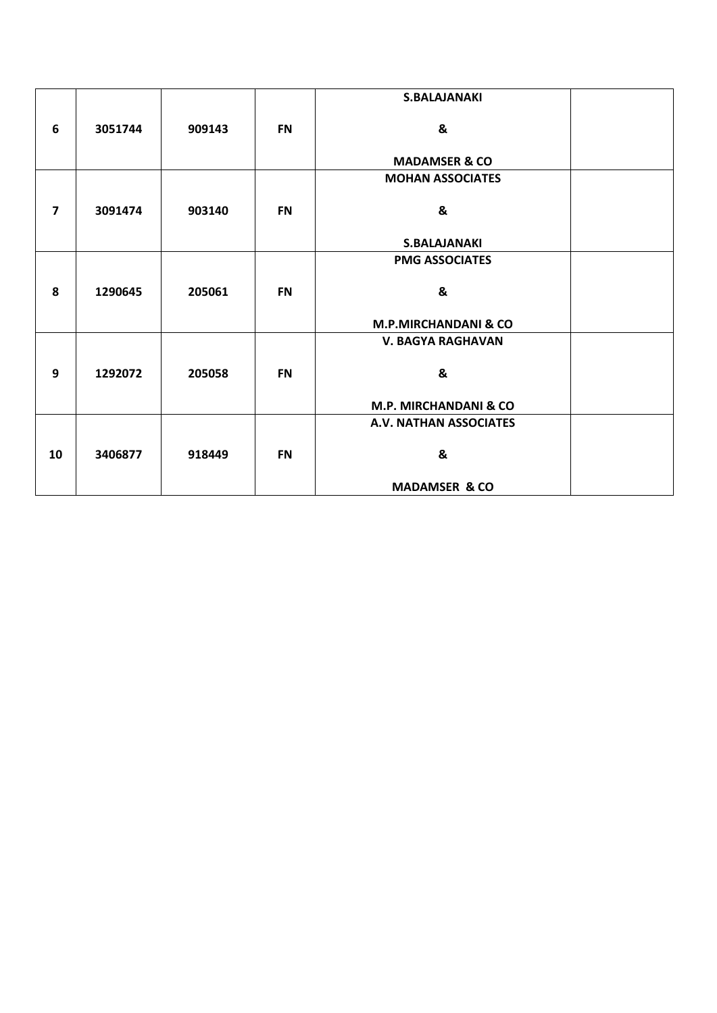|                         |         |        |           | <b>S.BALAJANAKI</b>              |  |
|-------------------------|---------|--------|-----------|----------------------------------|--|
| 6                       | 3051744 | 909143 | <b>FN</b> | &                                |  |
|                         |         |        |           | <b>MADAMSER &amp; CO</b>         |  |
|                         |         |        |           | <b>MOHAN ASSOCIATES</b>          |  |
| $\overline{\mathbf{z}}$ | 3091474 | 903140 | <b>FN</b> | &                                |  |
|                         |         |        |           | <b>S.BALAJANAKI</b>              |  |
|                         |         |        |           | <b>PMG ASSOCIATES</b>            |  |
| 8                       | 1290645 | 205061 | <b>FN</b> | &                                |  |
|                         |         |        |           | <b>M.P.MIRCHANDANI &amp; CO</b>  |  |
|                         |         |        |           | <b>V. BAGYA RAGHAVAN</b>         |  |
| 9                       | 1292072 | 205058 | <b>FN</b> | &                                |  |
|                         |         |        |           | <b>M.P. MIRCHANDANI &amp; CO</b> |  |
|                         |         |        |           | A.V. NATHAN ASSOCIATES           |  |
| 10                      | 3406877 | 918449 | <b>FN</b> | &                                |  |
|                         |         |        |           | <b>MADAMSER &amp; CO</b>         |  |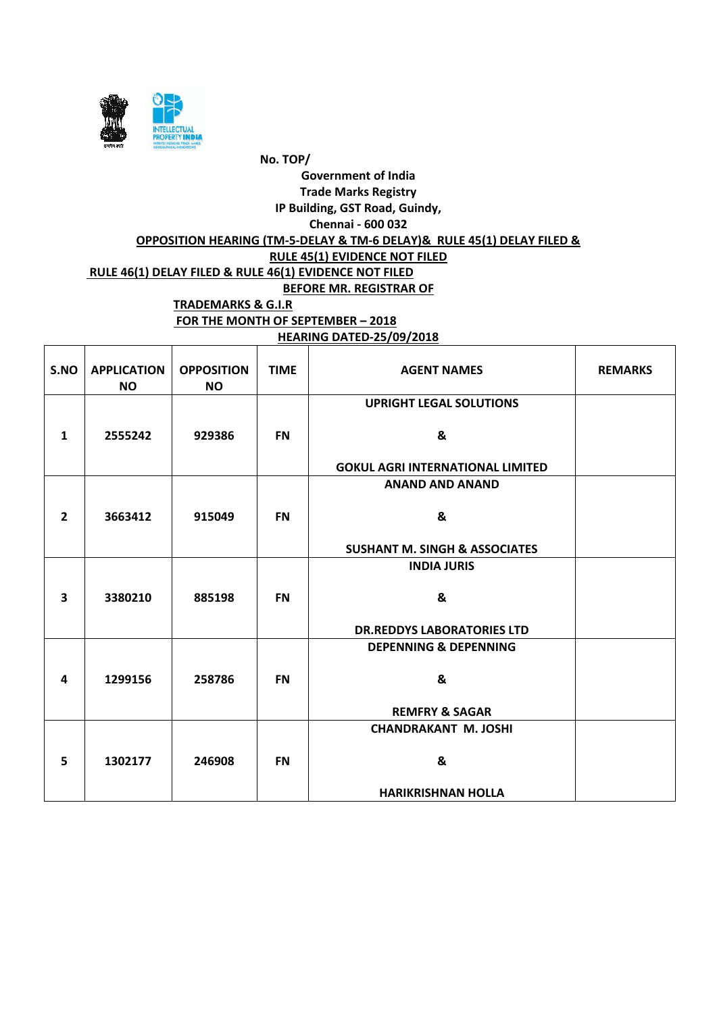

**HEARING DATED-25/09/2018**

| S.NO                    | <b>APPLICATION</b><br><b>NO</b> | <b>OPPOSITION</b><br><b>NO</b> | <b>TIME</b> | <b>AGENT NAMES</b>                       | <b>REMARKS</b> |
|-------------------------|---------------------------------|--------------------------------|-------------|------------------------------------------|----------------|
|                         |                                 |                                |             | <b>UPRIGHT LEGAL SOLUTIONS</b>           |                |
| $\mathbf{1}$            | 2555242                         | 929386                         | <b>FN</b>   | &                                        |                |
|                         |                                 |                                |             | <b>GOKUL AGRI INTERNATIONAL LIMITED</b>  |                |
|                         |                                 |                                |             | <b>ANAND AND ANAND</b>                   |                |
| $\overline{2}$          | 3663412                         | 915049                         | <b>FN</b>   | &                                        |                |
|                         |                                 |                                |             | <b>SUSHANT M. SINGH &amp; ASSOCIATES</b> |                |
|                         |                                 |                                |             | <b>INDIA JURIS</b>                       |                |
| $\overline{\mathbf{3}}$ | 3380210                         | 885198                         | <b>FN</b>   | &                                        |                |
|                         |                                 |                                |             | <b>DR.REDDYS LABORATORIES LTD</b>        |                |
|                         |                                 |                                |             | <b>DEPENNING &amp; DEPENNING</b>         |                |
| 4                       | 1299156                         | 258786                         | <b>FN</b>   | &                                        |                |
|                         |                                 |                                |             | <b>REMFRY &amp; SAGAR</b>                |                |
|                         |                                 |                                |             | <b>CHANDRAKANT M. JOSHI</b>              |                |
| 5                       | 1302177                         | 246908                         | <b>FN</b>   | &                                        |                |
|                         |                                 |                                |             | <b>HARIKRISHNAN HOLLA</b>                |                |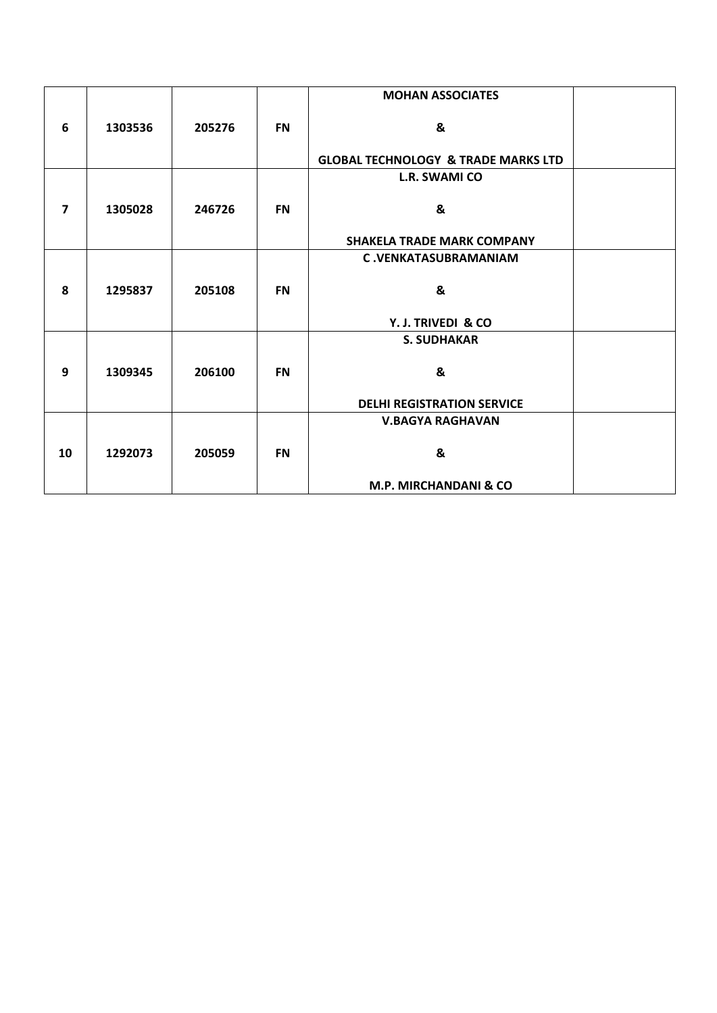|                         |         |        |           | <b>MOHAN ASSOCIATES</b>                        |  |
|-------------------------|---------|--------|-----------|------------------------------------------------|--|
| 6                       | 1303536 | 205276 | <b>FN</b> | &                                              |  |
|                         |         |        |           | <b>GLOBAL TECHNOLOGY &amp; TRADE MARKS LTD</b> |  |
|                         |         |        |           | L.R. SWAMI CO                                  |  |
| $\overline{\mathbf{z}}$ | 1305028 | 246726 | <b>FN</b> | &                                              |  |
|                         |         |        |           | <b>SHAKELA TRADE MARK COMPANY</b>              |  |
|                         |         |        |           | <b>C.VENKATASUBRAMANIAM</b>                    |  |
| 8                       | 1295837 | 205108 | <b>FN</b> | &                                              |  |
|                         |         |        |           | Y. J. TRIVEDI & CO                             |  |
|                         |         |        |           | <b>S. SUDHAKAR</b>                             |  |
|                         |         |        |           |                                                |  |
| 9                       | 1309345 | 206100 | <b>FN</b> | &                                              |  |
|                         |         |        |           | <b>DELHI REGISTRATION SERVICE</b>              |  |
|                         |         |        |           | <b>V.BAGYA RAGHAVAN</b>                        |  |
| 10                      | 1292073 | 205059 | <b>FN</b> | &                                              |  |
|                         |         |        |           | M.P. MIRCHANDANI & CO                          |  |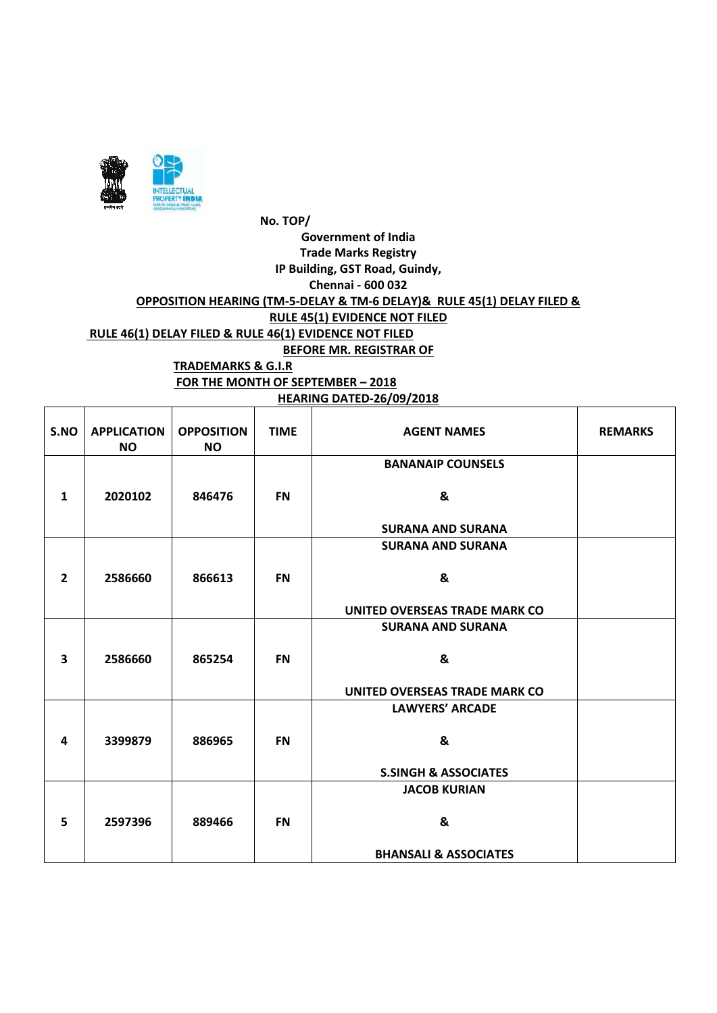

**FOR THE MONTH OF SEPTEMBER – 2018 HEARING DATED-26/09/2018**

| S.NO                    | <b>APPLICATION</b><br><b>NO</b> | <b>OPPOSITION</b><br><b>NO</b> | <b>TIME</b> | <b>AGENT NAMES</b>               | <b>REMARKS</b> |
|-------------------------|---------------------------------|--------------------------------|-------------|----------------------------------|----------------|
|                         |                                 |                                |             | <b>BANANAIP COUNSELS</b>         |                |
| $\mathbf{1}$            | 2020102                         | 846476                         | <b>FN</b>   | &                                |                |
|                         |                                 |                                |             | <b>SURANA AND SURANA</b>         |                |
|                         |                                 |                                |             | <b>SURANA AND SURANA</b>         |                |
| $\overline{2}$          | 2586660                         | 866613                         | <b>FN</b>   | &                                |                |
|                         |                                 |                                |             | UNITED OVERSEAS TRADE MARK CO    |                |
|                         |                                 |                                |             | <b>SURANA AND SURANA</b>         |                |
| $\overline{\mathbf{3}}$ | 2586660                         | 865254                         | <b>FN</b>   | &                                |                |
|                         |                                 |                                |             | UNITED OVERSEAS TRADE MARK CO    |                |
|                         |                                 |                                |             | <b>LAWYERS' ARCADE</b>           |                |
| 4                       | 3399879                         | 886965                         | <b>FN</b>   | &                                |                |
|                         |                                 |                                |             | <b>S.SINGH &amp; ASSOCIATES</b>  |                |
|                         |                                 |                                |             | <b>JACOB KURIAN</b>              |                |
| 5                       | 2597396                         | 889466                         | <b>FN</b>   | &                                |                |
|                         |                                 |                                |             | <b>BHANSALI &amp; ASSOCIATES</b> |                |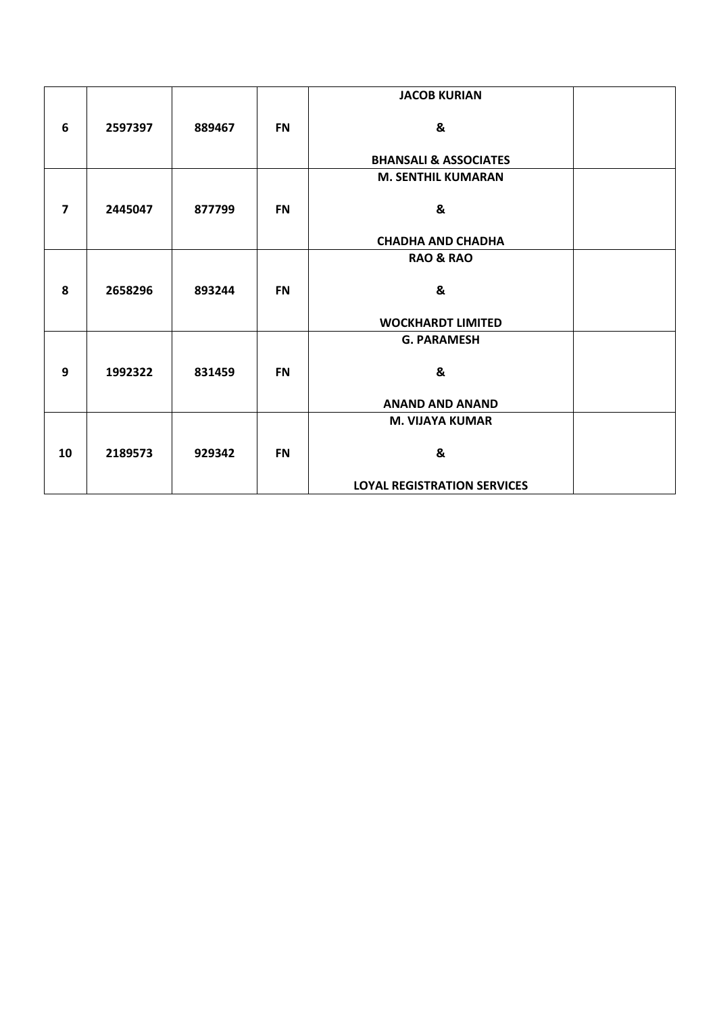|                         |         |        |           | <b>JACOB KURIAN</b>                |  |
|-------------------------|---------|--------|-----------|------------------------------------|--|
| 6                       | 2597397 | 889467 | <b>FN</b> | &                                  |  |
|                         |         |        |           | <b>BHANSALI &amp; ASSOCIATES</b>   |  |
|                         |         |        |           | <b>M. SENTHIL KUMARAN</b>          |  |
| $\overline{\mathbf{z}}$ | 2445047 | 877799 | <b>FN</b> | &                                  |  |
|                         |         |        |           | <b>CHADHA AND CHADHA</b>           |  |
|                         |         |        |           | <b>RAO &amp; RAO</b>               |  |
| 8                       | 2658296 | 893244 | <b>FN</b> | &                                  |  |
|                         |         |        |           | <b>WOCKHARDT LIMITED</b>           |  |
|                         |         |        |           | <b>G. PARAMESH</b>                 |  |
| 9                       | 1992322 | 831459 | <b>FN</b> | &                                  |  |
|                         |         |        |           | <b>ANAND AND ANAND</b>             |  |
|                         |         |        |           | <b>M. VIJAYA KUMAR</b>             |  |
| 10                      | 2189573 | 929342 | <b>FN</b> | &                                  |  |
|                         |         |        |           | <b>LOYAL REGISTRATION SERVICES</b> |  |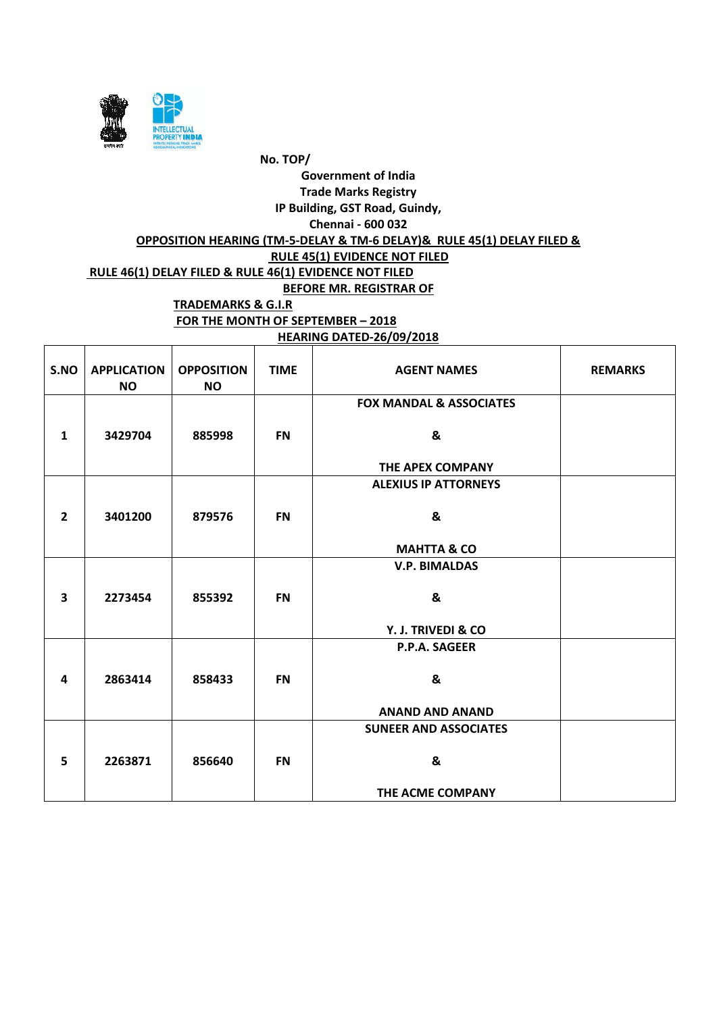

#### **HEARING DATED-26/09/2018**

| S.NO                    | <b>APPLICATION</b><br><b>NO</b> | <b>OPPOSITION</b><br><b>NO</b> | <b>TIME</b> | <b>AGENT NAMES</b>                 | <b>REMARKS</b> |
|-------------------------|---------------------------------|--------------------------------|-------------|------------------------------------|----------------|
|                         |                                 |                                |             | <b>FOX MANDAL &amp; ASSOCIATES</b> |                |
| $\mathbf{1}$            | 3429704                         | 885998                         | <b>FN</b>   | &                                  |                |
|                         |                                 |                                |             | THE APEX COMPANY                   |                |
|                         |                                 |                                |             | <b>ALEXIUS IP ATTORNEYS</b>        |                |
|                         |                                 |                                |             |                                    |                |
| $\overline{2}$          | 3401200                         | 879576                         | <b>FN</b>   | &                                  |                |
|                         |                                 |                                |             |                                    |                |
|                         |                                 |                                |             | <b>MAHTTA &amp; CO</b>             |                |
|                         |                                 |                                |             | <b>V.P. BIMALDAS</b>               |                |
| $\overline{\mathbf{3}}$ | 2273454                         | 855392                         | <b>FN</b>   | &                                  |                |
|                         |                                 |                                |             | Y. J. TRIVEDI & CO                 |                |
|                         |                                 |                                |             | P.P.A. SAGEER                      |                |
|                         |                                 |                                |             |                                    |                |
| 4                       | 2863414                         | 858433                         | <b>FN</b>   | &                                  |                |
|                         |                                 |                                |             |                                    |                |
|                         |                                 |                                |             | <b>ANAND AND ANAND</b>             |                |
|                         |                                 |                                |             | <b>SUNEER AND ASSOCIATES</b>       |                |
|                         |                                 |                                |             |                                    |                |
| 5                       | 2263871                         | 856640                         | <b>FN</b>   | &                                  |                |
|                         |                                 |                                |             | THE ACME COMPANY                   |                |